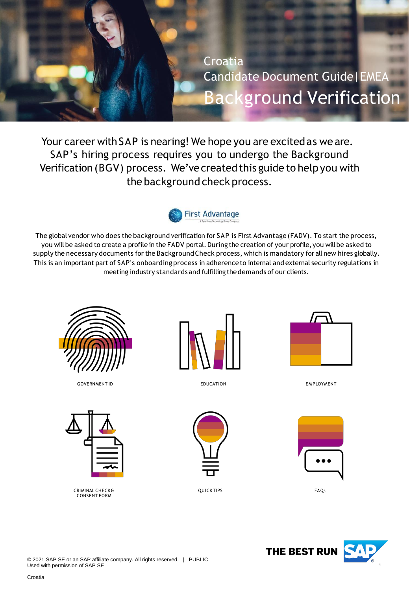<span id="page-0-0"></span>

Your career with SAP is nearing! We hope you are excited as we are. SAP's hiring process requires you to undergo the Background Verification (BGV) process. We've created this guide to help you with the background check process.



The global vendor who does the background verification for SAP is First Advantage (FADV). To start the process, you will be asked to create a profile in the FADV portal. During the creation of your profile, you will be asked to supply the necessary documents for the BackgroundCheck process, which is mandatory for all new hires globally. This is an important part of SAP's onboarding process in adherence to internal and external security regulations in meeting industry standards and fulfilling thedemands of our clients.



GOVERNMENT ID **EDUCATION** EDUCATION **EXAMPLOYMENT** 



CRIMINAL CHECK & CONSENT FORM



EDUCATION



QUICK TIPS FAQs







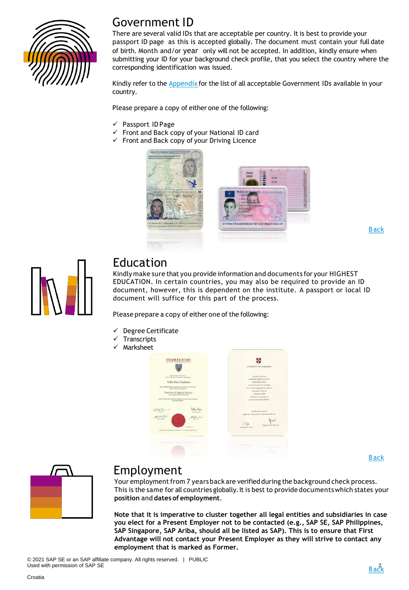

### Government ID

There are several valid IDs that are acceptable per country. It is best to provide your passport ID page as this is accepted globally. The document must contain your full date of birth. Month and/or year only will not be accepted. In addition, kindly ensure when submitting your ID for your background check profile, that you select the country where the corresponding identification was issued.

Kindly refer to the **[Appendix](#page-9-0)** for the list of all acceptable Government IDs available in your country.

Please prepare a copy of either one of the following:

- ✓ Passport ID Page
- Front and Back copy of your National ID card
- ✓ Front and Back copy of your Driving Licence



[Back](#page-0-0)



### Education

Kindly make sure that you provide information and documents for your HIGHEST EDUCATION. In certain countries, you may also be required to provide an ID document, however, this is dependent on the institute. A passport or local ID document will suffice for this part of the process.

Please prepare a copy of either one of the following:

- Degree Certificate
- **Transcripts**
- Marksheet



[Back](#page-0-0)



### Employment

Your employment from 7 years back are verified during the background check process. This is the same for all countries globally. It is best to provide documents which states your **position** and **dates of employment**.

**Note that it is imperative to cluster together all legal entities and subsidiaries in case you elect for a Present Employer not to be contacted (e.g., SAP SE, SAP Philippines, SAP Singapore, SAP Ariba, should all be listed as SAP). This is to ensure that First Advantage will not contact your Present Employer as they will strive to contact any employment that is marked as Former.**

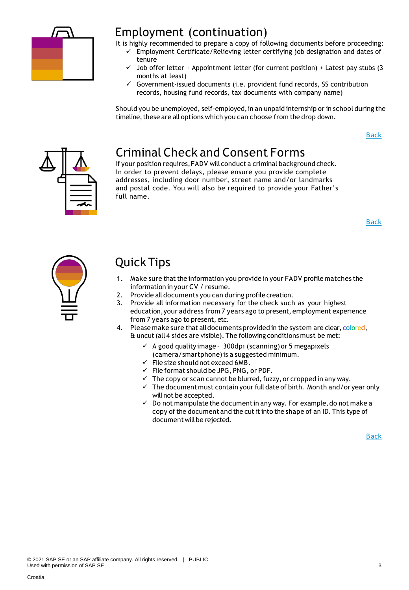

### Employment (continuation)

It is highly recommended to prepare a copy of following documents before proceeding:

- ✓ Employment Certificate/Relieving letter certifying job designation and dates of tenure
	- Job offer letter + Appointment letter (for current position) + Latest pay stubs (3 months at least)
	- $\checkmark$  Government-issued documents (i.e. provident fund records, SS contribution records, housing fund records, tax documents with company name)

Should you be unemployed, self-employed, in an unpaid internship or in school during the timeline, these are all options which you can choose from the drop down.

[Back](#page-0-0)



# Criminal Check and Consent Forms

If your position requires,FADV will conduct a criminal background check. In order to prevent delays, please ensure you provide complete addresses, including door number, street name and/or landmarks and postal code. You will also be required to provide your Father's full name.

[Back](#page-0-0)



# Quick Tips

- 1. Make sure that the information you provide in your FADV profile matches the information in your CV / resume.
- 2. Provide all documents you can during profile creation.
- 3. Provide all information necessary for the check such as your highest education,your address from 7 years ago to present, employment experience from 7 years ago to present, etc.
- 4. Please make sure that all documents provided in the system are clear, colored, & uncut(all 4 sides are visible). The following conditions must be met:
	- ✓ A good qualityimage 300dpi (scanning) or 5 megapixels (camera/smartphone)is a suggested minimum.
	- $\checkmark$  File size should not exceed 6MB.
	- $\checkmark$  File format should be JPG, PNG, or PDF.
	- $\checkmark$  The copy or scan cannot be blurred, fuzzy, or cropped in any way.
	- $\checkmark$  The document must contain your full date of birth. Month and/or year only willnot be accepted.
	- $\checkmark$  Do not manipulate the document in any way. For example, do not make a copy of the document and the cut it into the shape of an ID. This type of document will be rejected.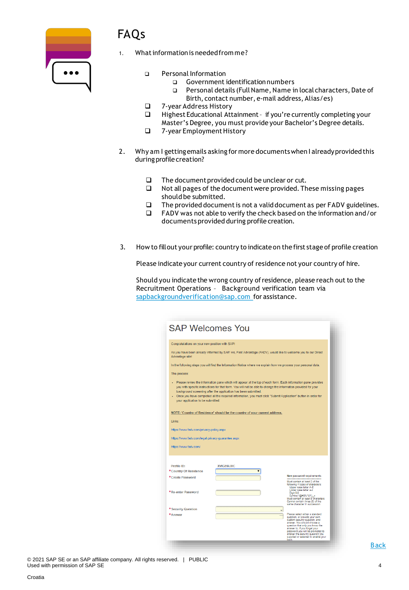

# FAQs

- What information is needed from me?
	- ❑ Personal Information
		- ❑ Government identificationnumbers
		- ❑ Personal details (FullName, Name in local characters, Date of Birth, contact number, e-mail address, Alias/es)
	- ❑ 7-year Address History
	- Highest Educational Attainment if you're currently completing your Master's Degree, you must provide your Bachelor's Degree details.
	- ❑ 7-year EmploymentHistory
- 2. Why am I getting emails asking for more documents when I already provided this during profile creation?
	- ❑ The documentprovided could be unclear or cut.
	- ❑ Not all pages of the documentwere provided.These missing pages should be submitted.
	- ❑ The provided documentis not a validdocument as per FADV guidelines.
	- ❑ FADV was not able to verify the check based on the information and/or documents provided during profile creation.
- 3. How to fillout your profile: country to indicateon the first stage of profile creation

Please indicate your current country of residence not your country of hire.

Should you indicate the wrong country ofresidence, please reach out to the Recruitment Operations – Background verification team via [sapbackgroundverification@sap.com](mailto:sapbackgroundverification@sap.com) for assistance.

| <b>SAP Welcomes You</b>                                                                                                                                                                                                                                                                                                                                                                                                                                    |                                                                                                                 |                                                                                                                                                                                                                                                                                            |  |  |  |  |
|------------------------------------------------------------------------------------------------------------------------------------------------------------------------------------------------------------------------------------------------------------------------------------------------------------------------------------------------------------------------------------------------------------------------------------------------------------|-----------------------------------------------------------------------------------------------------------------|--------------------------------------------------------------------------------------------------------------------------------------------------------------------------------------------------------------------------------------------------------------------------------------------|--|--|--|--|
| Congratulations on your new position with SAP!                                                                                                                                                                                                                                                                                                                                                                                                             |                                                                                                                 |                                                                                                                                                                                                                                                                                            |  |  |  |  |
| Advantage site!                                                                                                                                                                                                                                                                                                                                                                                                                                            | As you have been already informed by SAP, we, First Advantage (FADV), would like to welcome you to our Direct   |                                                                                                                                                                                                                                                                                            |  |  |  |  |
|                                                                                                                                                                                                                                                                                                                                                                                                                                                            | In the following steps you will find the Information Notice where we explain how we process your personal data. |                                                                                                                                                                                                                                                                                            |  |  |  |  |
| The process:                                                                                                                                                                                                                                                                                                                                                                                                                                               |                                                                                                                 |                                                                                                                                                                                                                                                                                            |  |  |  |  |
| . Please review the information pane which will appear at the top of each form. Each information pane provides<br>you with specific instructions for that form. You will not be able to change the information provided for your<br>background screening after the application has been submitted.<br>- Once you have completed all the required information, you must click "Submit Application" button in order for<br>your application to be submitted. |                                                                                                                 |                                                                                                                                                                                                                                                                                            |  |  |  |  |
|                                                                                                                                                                                                                                                                                                                                                                                                                                                            | NOTE: 'Country of Residence' should be the country of your current address.                                     |                                                                                                                                                                                                                                                                                            |  |  |  |  |
| Links:                                                                                                                                                                                                                                                                                                                                                                                                                                                     |                                                                                                                 |                                                                                                                                                                                                                                                                                            |  |  |  |  |
| https://www.fadv.com/privacy-policy.aspx                                                                                                                                                                                                                                                                                                                                                                                                                   |                                                                                                                 |                                                                                                                                                                                                                                                                                            |  |  |  |  |
| https://www.fadv.com/legal-privacy-quarantee.aspx                                                                                                                                                                                                                                                                                                                                                                                                          |                                                                                                                 |                                                                                                                                                                                                                                                                                            |  |  |  |  |
| https://www.fadv.com/                                                                                                                                                                                                                                                                                                                                                                                                                                      |                                                                                                                 |                                                                                                                                                                                                                                                                                            |  |  |  |  |
|                                                                                                                                                                                                                                                                                                                                                                                                                                                            |                                                                                                                 |                                                                                                                                                                                                                                                                                            |  |  |  |  |
| Profile ID:<br>*Country Of Residence                                                                                                                                                                                                                                                                                                                                                                                                                       | <b>XVIGF6LIXC</b>                                                                                               |                                                                                                                                                                                                                                                                                            |  |  |  |  |
| *Create Password                                                                                                                                                                                                                                                                                                                                                                                                                                           |                                                                                                                 | <b>New password requirements</b><br>Must contain at least 3 of the<br>following 4 types of characters:<br>Upper case letter A-Z<br>Lower case letter a-z                                                                                                                                   |  |  |  |  |
| *Re-enter Password                                                                                                                                                                                                                                                                                                                                                                                                                                         |                                                                                                                 | Digit 0-9<br>Symbol !@#\$%^&*()_+<br>Must contain at least 8 characters<br>Cannot contain three (3) of the<br>same character in succession                                                                                                                                                 |  |  |  |  |
| * Security Question                                                                                                                                                                                                                                                                                                                                                                                                                                        |                                                                                                                 | Please select either a standard                                                                                                                                                                                                                                                            |  |  |  |  |
| *Answer                                                                                                                                                                                                                                                                                                                                                                                                                                                    |                                                                                                                 | question, or provide your own<br>custom security question, and<br>answer. You should choose a<br>question that only you know the<br>answer to. If you forget your<br>password you will be prompted to<br>answer the security question you<br>supplied or selected to enable your<br>login, |  |  |  |  |

© 2021 SAP SE or an SAP affiliate company. All rights reserved. | PUBLIC Used with permission of SAP SE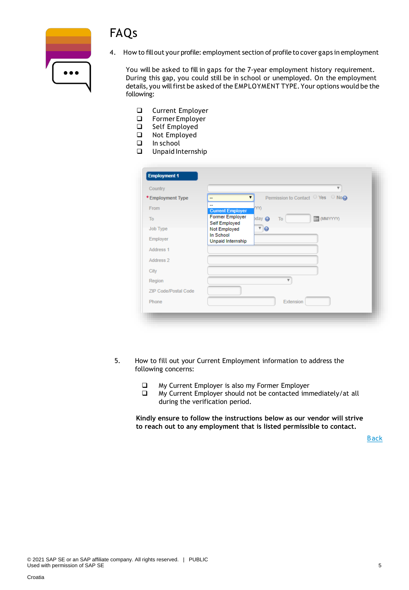



4. How to fillout your profile: employment section of profile to cover gaps in employment

You will be asked to fill in gaps for the 7-year employment history requirement. During this gap, you could still be in school or unemployed. On the employment details, you will first be asked of the EMPLOYMENT TYPE. Your options would be the following:

- ❑ Current Employer
- ❑ Former Employer
- ❑ Self Employed
- ❑ Not Employed
- ❑ In school
- ❑ Unpaid Internship

| Country                     |                                | $\overline{\mathbf{v}}$                |
|-----------------------------|--------------------------------|----------------------------------------|
| *Employment Type            | --                             | Permission to Contact ○ Yes ○ No@<br>▼ |
| From                        | --<br><b>Current Employer</b>  | YY)                                    |
| To                          | <b>Former Employer</b>         | (MMYYYYY)<br>$p$ day<br>To             |
| Job Type                    | Self Employed<br>Not Employed  | $\sqrt{9}$                             |
| Employer                    | In School<br>Unpaid Internship |                                        |
| Address 1                   |                                |                                        |
| Address 2                   |                                |                                        |
| City                        |                                |                                        |
| Region                      |                                | v                                      |
| <b>ZIP Code/Postal Code</b> |                                |                                        |
| Phone                       |                                | Extension                              |

- 5. How to fill out your Current Employment information to address the following concerns:
	- ❑ My Current Employer is also my Former Employer
	- ❑ My Current Employer should not be contacted immediately/at all during the verification period.

**Kindly ensure to follow the instructions below as our vendor will strive to reach out to any employment that is listed permissible to contact.**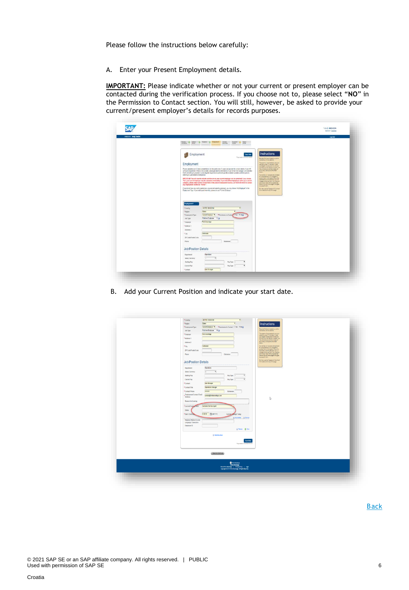Please follow the instructions below carefully:

A. Enter your Present Employment details.

**IMPORTANT:** Please indicate whether or not your current or present employer can be contacted during the verification process. If you choose not to, please select "**NO**" in the Permission to Contact section. You will still, however, be asked to provide your current/present employer's details for records purposes.

| Wektome: Andy TestDA |                                                                                                                                                                                                                                                                                                                                                                                                                                                                                                                                                                                                                                                                                                                                                                                                                                                                                                                                                                                                                                                                                                                                                                                                                                                                                                                                                                                                                                                                                                                                                       | Leg Out |
|----------------------|-------------------------------------------------------------------------------------------------------------------------------------------------------------------------------------------------------------------------------------------------------------------------------------------------------------------------------------------------------------------------------------------------------------------------------------------------------------------------------------------------------------------------------------------------------------------------------------------------------------------------------------------------------------------------------------------------------------------------------------------------------------------------------------------------------------------------------------------------------------------------------------------------------------------------------------------------------------------------------------------------------------------------------------------------------------------------------------------------------------------------------------------------------------------------------------------------------------------------------------------------------------------------------------------------------------------------------------------------------------------------------------------------------------------------------------------------------------------------------------------------------------------------------------------------------|---------|
|                      | livene: O lates O linear O leagues<br><b>Crack</b><br><b>December</b><br><b>SAMP</b><br>Palle<br>stream.                                                                                                                                                                                                                                                                                                                                                                                                                                                                                                                                                                                                                                                                                                                                                                                                                                                                                                                                                                                                                                                                                                                                                                                                                                                                                                                                                                                                                                              |         |
|                      | Instructions<br>Employment<br><b>Seve New</b><br>Figures at 122415 except<br>Reported for any research to a policy.<br>assess became we want to.<br>The general Leasenstady away por<br>Employment<br>you happen to the power or creator.<br>connection busine internat: however, you<br>Please complete your full employment history for the past seven (?) years and provide the contact definiti of your HR<br>mig a bit save your empire (interpre-<br>en treb nomine Softion<br>or Payrol department. If this is not available, glease provide the information of your former line manager, and note that<br>base.<br>FACY will still by to proceed in contacting the respective departments per the acadatie numbers and Ared prior to<br>deletting to your stated contact person:<br>tare train is set in set of<br>for consideration classified to analysis to a state from the same figure of the state of the state of the material control of the state of the state of the state of the state of the state of the state of the state of the s<br>INFORTABLE You will need to indicate whather or not your oursest amployer can be contacted. If you choose<br>"fee", your current employer may be contacted immediately. If you held different positions within your carrent<br>company, please make sure to include them in the present employment section, as FA2V will strive to contact<br>dot or any hour of the program bar.<br>East of the pay of the logist houghts<br>any employment marked as "farmer".<br>to a specific tarrs. |         |
|                      | If you do not have any volk experience or you are not currently versityed, you may choose first Employed in the<br>Retriebuse the Combine's content<br>Employment Type: If you held a paid internet ip, please choose "Former Employer".<br>in hard of this pine ago.<br>Engloyment 1                                                                                                                                                                                                                                                                                                                                                                                                                                                                                                                                                                                                                                                                                                                                                                                                                                                                                                                                                                                                                                                                                                                                                                                                                                                                 |         |
|                      | UNITED HAVECOM<br>"County<br><b>Exsec</b><br>* lispon<br>Current Entatives #   * Permission to Cardia   C Yes # Reg)<br>* Drainyment Type<br>Full me Employee 7 @<br>Jidi Type<br>First Advertising<br>* Employer                                                                                                                                                                                                                                                                                                                                                                                                                                                                                                                                                                                                                                                                                                                                                                                                                                                                                                                                                                                                                                                                                                                                                                                                                                                                                                                                     |         |
|                      | *Address 1<br>Address 2<br>Coktester<br>*Cty<br>ZP Code/Poital Code<br>Phota<br>Estatean                                                                                                                                                                                                                                                                                                                                                                                                                                                                                                                                                                                                                                                                                                                                                                                                                                                                                                                                                                                                                                                                                                                                                                                                                                                                                                                                                                                                                                                              |         |
|                      | <b>Job/Position Details</b>                                                                                                                                                                                                                                                                                                                                                                                                                                                                                                                                                                                                                                                                                                                                                                                                                                                                                                                                                                                                                                                                                                                                                                                                                                                                                                                                                                                                                                                                                                                           |         |
|                      | Operations<br>Department<br>Salary Currency<br>Starting Pay<br>Pay Type :-<br>ï<br>Current Pay<br>Pay Type -<br>Line Manager<br>*Contact                                                                                                                                                                                                                                                                                                                                                                                                                                                                                                                                                                                                                                                                                                                                                                                                                                                                                                                                                                                                                                                                                                                                                                                                                                                                                                                                                                                                              |         |

B. Add your Current Position and indicate your start date.

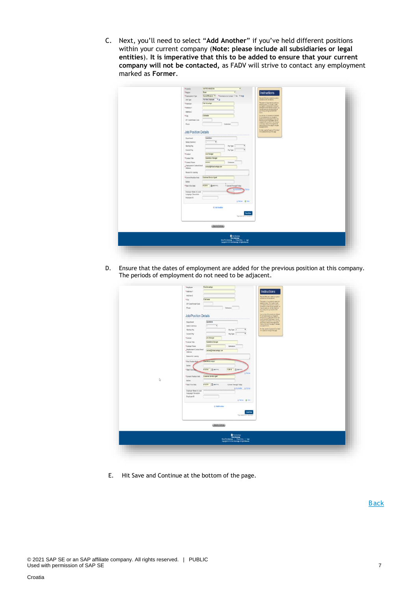C. Next, you'll need to select "**Add Another**" if you've held different positions within your current company (**Note: please include all subsidiaries or legal entities**). **It is imperative that this to be added to ensure that your current company will not be contacted,** as FADV will strive to contact any employment marked as **Former**.

| UNITED NNSCON<br>*Coastry<br>$\cdot$                                          |                                                                                                                    |
|-------------------------------------------------------------------------------|--------------------------------------------------------------------------------------------------------------------|
| <b>Exer</b><br>*Region<br>٠                                                   | Instructions                                                                                                       |
| Current Employer * * Fermination to Contact 17 Year * Rog<br>*Employment Type |                                                                                                                    |
| Ful-time Employee # @<br>Job Type                                             | flessied felds are noted by a jetter<br>interesting and red america.                                               |
| Fird Advantage<br>*Employer                                                   | The system of accomplically case your<br>date employers 1.5 minutes, in case<br>you happen to integrate or temploy |
| *Atdess 1.                                                                    | convetter to the memor housing you.                                                                                |
| Address 2                                                                     | my att sak jay ennu cred, at<br>any timely closing the Skift side<br>botter.                                       |
| Cotteder<br>*ciy                                                              | Your written will be seved an studies and                                                                          |
| 2P Code/Fordal Code                                                           | for considerance at you couple to:<br>promotive the system. Fyes: OSI<br>charges to the health in this map and     |
| Phone<br>Extension                                                            |                                                                                                                    |
|                                                                               | contacts to superintendent<br>Massehrhm.                                                                           |
| <b>Job/Position Details</b>                                                   | for their year the "Duestoned Clus them"<br>This support in the top of the page                                    |
| Constitute<br>Department                                                      |                                                                                                                    |
| Salary Currency<br>٠                                                          |                                                                                                                    |
| $\cdot$<br>Starting Pay<br>$PeyType$ -                                        |                                                                                                                    |
| ٠<br>Cartest Pay<br>$PayTysu =$                                               |                                                                                                                    |
| *Contact<br>Line Manager                                                      |                                                                                                                    |
| *ContactTitle<br>Operations Manager                                           |                                                                                                                    |
| *Contact Phone<br>302033<br>Extension                                         |                                                                                                                    |
| . Employment Contact Email<br>contact@finitativantage.com                     |                                                                                                                    |
| Attess                                                                        |                                                                                                                    |
| Reason for Leaving                                                            |                                                                                                                    |
| *Current Position Held<br>Customer Dervice Agent                              |                                                                                                                    |
| Dates                                                                         |                                                                                                                    |
| 412019   图 MillYring<br>Current Through Today<br>* Slast / End Date           |                                                                                                                    |
|                                                                               |                                                                                                                    |
| Employer Name in Local<br>Language Characters                                 |                                                                                                                    |
| Employee ID                                                                   |                                                                                                                    |
| G Ferrot @ Dots                                                               |                                                                                                                    |
|                                                                               |                                                                                                                    |
| <b>&amp; Ass Arother</b>                                                      |                                                                                                                    |
| Saw Now                                                                       |                                                                                                                    |
| <b>Page saved at 17.17.34 AB E</b>                                            |                                                                                                                    |
|                                                                               |                                                                                                                    |
| (Jankstöring)                                                                 |                                                                                                                    |
|                                                                               |                                                                                                                    |
|                                                                               |                                                                                                                    |
|                                                                               |                                                                                                                    |
|                                                                               |                                                                                                                    |
|                                                                               |                                                                                                                    |

D. Ensure that the dates of employment are added for the previous position at this company. The periods of employment do not need to be adjacent.

| b, | ZIP Coda Postal Code<br>Phone<br>Extension<br><b>Job/Position Details</b><br>Operations<br><b>Department</b><br>Salary Camerey<br>$\overline{\phantom{a}}$<br>٠<br>$\bullet$<br>Starting Pay<br>Pay Type -<br>Ÿ<br>Current Pay<br>Pay Type -<br>*Contact<br>Line Manager<br>*ContactTitle<br>Operators throught<br>*Contact Phone<br>xxxxxxx<br>Extension<br>Employment Contact Email<br>contact@festaciantage.com<br>Address<br>Researcher Leaving<br>Complicies analyst<br><sup>+</sup> First Position Reid<br>Duties<br>120018 El (Mannin)<br>et2016 图(Minh)<br>* Start / End Billia<br><b>Q</b> Ferron<br>*Current Position Held<br>Customer Senite Agent<br>Didies<br>462019 图 Minhmit<br>* Start / End Date<br>Corrent Through Today<br>@Att Author B Remail<br>Employer Name in Local<br>Larguage Characters<br>Employee ID<br>Glenne @ Dre<br><b>GASS Acother</b><br>Saw Now<br>Papcaental CO'25 AT (ST | The system will accomplicately paint your<br>caraversy energy 1.5 m mates, means<br>your happens on the paint on boary paint<br>sevedons the name: houses jou<br><b>Microsoft Management Address</b><br>The archived busined and detailed<br>by an operator postellight to the first form and providing to<br>the first form of the postellight of the postellight<br>transport of the providing state of the postellight<br>form in the country<br>Service and to Custom Content |  |
|----|-----------------------------------------------------------------------------------------------------------------------------------------------------------------------------------------------------------------------------------------------------------------------------------------------------------------------------------------------------------------------------------------------------------------------------------------------------------------------------------------------------------------------------------------------------------------------------------------------------------------------------------------------------------------------------------------------------------------------------------------------------------------------------------------------------------------------------------------------------------------------------------------------------------------|-----------------------------------------------------------------------------------------------------------------------------------------------------------------------------------------------------------------------------------------------------------------------------------------------------------------------------------------------------------------------------------------------------------------------------------------------------------------------------------|--|
|    | Sea kratema<br>$\begin{tabular}{l} \textbf{0} & \texttt{best} & \texttt{key} \\ \textbf{first} & \texttt{test} \\ \texttt{test} & \texttt{key} \\ \texttt{test} & \texttt{key} \end{tabular} \begin{tabular}{ll} \textbf{1} & \texttt{key} \\ \texttt{key} & \texttt{key} \end{tabular}$                                                                                                                                                                                                                                                                                                                                                                                                                                                                                                                                                                                                                        |                                                                                                                                                                                                                                                                                                                                                                                                                                                                                   |  |

E. Hit Save and Continue at the bottom of the page.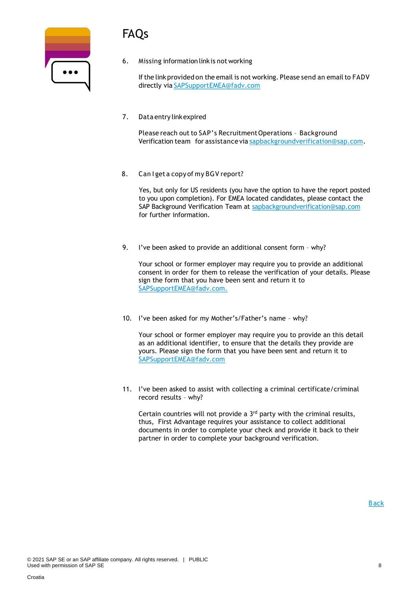# FAQs

| $\bullet\bullet\bullet$ |  |
|-------------------------|--|
|                         |  |

6. Missing information linkis not working

If the link provided on the email is not working. Please send an email to FADV directly via [SAPSupportEMEA@fadv.com](mailto:SAPSupportEMEA@fadv.com)

7. Data entry linkexpired

Please reach out to SAP's Recruitment Operations - Background Verification team for assistance via [sapbackgroundverification@sap.com.](mailto:sapbackgroundverification@sap.com)

8. Can I get a copy of my BGV report?

Yes, but only for US residents (you have the option to have the report posted to you upon completion). For EMEA located candidates, please contact the SAP Background Verification Team at [sapbackgroundverification@sap.com](mailto:sapbackgroundverification@sap.com) for further information.

9. I've been asked to provide an additional consent form – why?

Your school or former employer may require you to provide an additional consent in order for them to release the verification of your details. Please sign the form that you have been sent and return it to SAPSupportEMEA@fadv.com.

10. I've been asked for my Mother's/Father's name – why?

Your school or former employer may require you to provide an this detail as an additional identifier, to ensure that the details they provide are yours. Please sign the form that you have been sent and return it to [SAPSupportEMEA@fadv.com](mailto:SAPSupportEMEA@fadv.com)

11. I've been asked to assist with collecting a criminal certificate/criminal record results – why?

Certain countries will not provide a 3rd party with the criminal results, thus, First Advantage requires your assistance to collect additional documents in order to complete your check and provide it back to their partner in order to complete your background verification.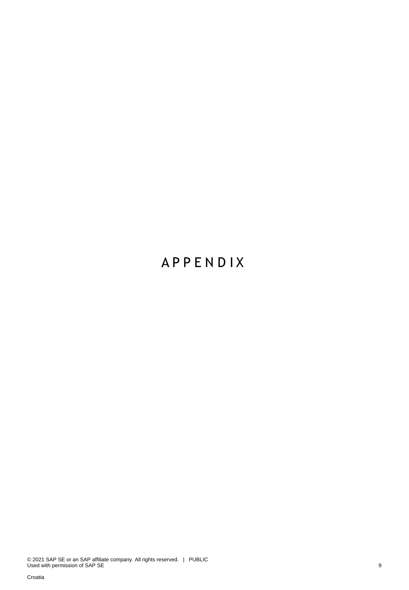# **A P P E N D I X**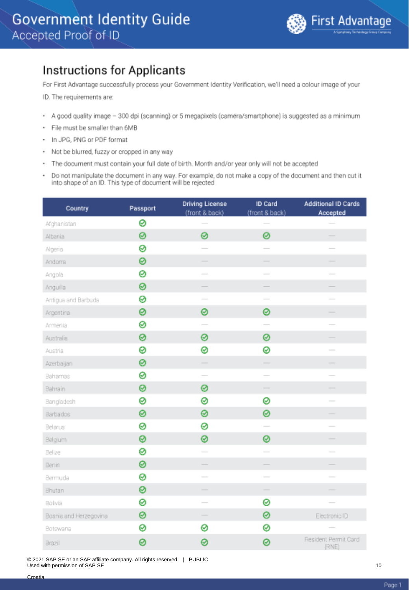### <span id="page-9-0"></span>**Instructions for Applicants**

For First Advantage successfully process your Government Identity Verification, we'll need a colour image of your

ID. The requirements are:

- A good quality image 300 dpi (scanning) or 5 megapixels (camera/smartphone) is suggested as a minimum
- · File must be smaller than 6MB
- In JPG, PNG or PDF format ٠
- Not be blurred, fuzzy or cropped in any way
- The document must contain your full date of birth. Month and/or year only will not be accepted
- Do not manipulate the document in any way. For example, do not make a copy of the document and then cut it into shape of an ID. This type of document will be rejected

| Country                | Passport | <b>Driving License</b><br>(front & back) | ID Card<br>(front & back) | <b>Additional ID Cards</b><br>Accepted |
|------------------------|----------|------------------------------------------|---------------------------|----------------------------------------|
| Afghanistan            | 0        |                                          |                           |                                        |
| Albania                | 0        | 0                                        | 0                         |                                        |
| Algeria                | ⊗        |                                          |                           |                                        |
| Andoma                 | 0        | ÷.                                       |                           |                                        |
| Angola                 | 0        | $\overline{\phantom{0}}$                 | $\overline{\phantom{0}}$  |                                        |
| Anguilla               | ⊗        |                                          | -                         |                                        |
| Antigua and Barbuda    | ⊗        | $\sim$                                   | $\sim$                    |                                        |
| Argentina              | 0        | 0                                        | 0                         | -                                      |
| Armenia                | ⊗        |                                          |                           |                                        |
| Australia              | 0        | 0                                        | 0                         |                                        |
| Austria                | ⊗        | 0                                        | 0                         | $\overline{\phantom{a}}$               |
| Azerbaijan             | 0        |                                          | $\frac{1}{2}$             |                                        |
| Bahamas                | ⊗        | $\overline{\phantom{a}}$                 | $\overline{\phantom{a}}$  |                                        |
| Bahrain                | 0        | 0                                        |                           |                                        |
| Bangladesh             | ⊗        | 0                                        | ⊗                         | $\overline{\phantom{a}}$               |
| Barbados               | 0        | 0                                        | 0                         |                                        |
| Belarus                | ⊗        | 0                                        | $\overline{\phantom{0}}$  |                                        |
| Belgium                | ⊗        | 0                                        | 0                         |                                        |
| Belize                 | ⊗        | $\overline{\phantom{a}}$                 | $\overline{\phantom{a}}$  |                                        |
| Benin                  | 0        |                                          |                           |                                        |
| Bermuda                | 0        | $\overline{\phantom{a}}$                 | $\sim$                    |                                        |
| Bhutan                 | ⊗        | $\qquad \qquad$                          | $\overline{\phantom{a}}$  |                                        |
| Bolivia                | 0        |                                          | 0                         |                                        |
| Bosnia and Herzegovina | 0        |                                          | ⊗                         | Electronic ID                          |
| Botswana               | ⊗        | 0                                        | ⊗                         |                                        |
| Brazil                 | 0        | ø                                        | 0                         | Resident Permit Card<br>(RNE)          |

© 2021 SAP SE or an SAP affiliate company. All rights reserved. | PUBLIC Used with permission of SAP SE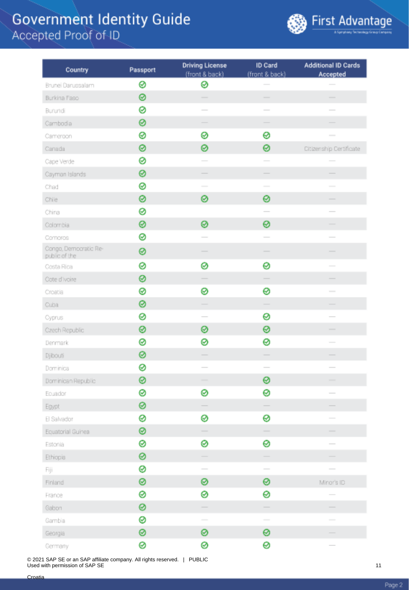

| Country                                | Passport | <b>Driving License</b>                                                                         | ID Card                                                                                                                                                                                                                                                                                                                                                                                                                                                                    | <b>Additional ID Cards</b> |
|----------------------------------------|----------|------------------------------------------------------------------------------------------------|----------------------------------------------------------------------------------------------------------------------------------------------------------------------------------------------------------------------------------------------------------------------------------------------------------------------------------------------------------------------------------------------------------------------------------------------------------------------------|----------------------------|
|                                        | ⊗        | (front & back)<br>⊗                                                                            | (front & back)                                                                                                                                                                                                                                                                                                                                                                                                                                                             | Accepted                   |
| Brunei Darussalam<br>Burkina Faso      | 0        |                                                                                                | $\overline{\phantom{a}}$                                                                                                                                                                                                                                                                                                                                                                                                                                                   | $\overline{\phantom{a}}$   |
| Burundi                                | ø        |                                                                                                | $\overline{\phantom{a}}$                                                                                                                                                                                                                                                                                                                                                                                                                                                   |                            |
|                                        | 0        |                                                                                                |                                                                                                                                                                                                                                                                                                                                                                                                                                                                            |                            |
| Cambodia                               | 0        | ⊗                                                                                              | 0                                                                                                                                                                                                                                                                                                                                                                                                                                                                          |                            |
| Cameroon                               | 0        | ø                                                                                              | 0                                                                                                                                                                                                                                                                                                                                                                                                                                                                          |                            |
| Canada                                 | 0        |                                                                                                |                                                                                                                                                                                                                                                                                                                                                                                                                                                                            | Ditizenship Dertificate    |
| Cape Verde                             | 0        |                                                                                                |                                                                                                                                                                                                                                                                                                                                                                                                                                                                            |                            |
| Cayman Islands                         |          |                                                                                                |                                                                                                                                                                                                                                                                                                                                                                                                                                                                            |                            |
| Chad                                   | 0        | $\frac{1}{2} \left( \frac{1}{2} \right) \left( \frac{1}{2} \right) \left( \frac{1}{2} \right)$ |                                                                                                                                                                                                                                                                                                                                                                                                                                                                            |                            |
| Chile                                  | 0        | 0                                                                                              | 0                                                                                                                                                                                                                                                                                                                                                                                                                                                                          |                            |
| China                                  | ⊗        |                                                                                                | $\overline{\phantom{a}}$                                                                                                                                                                                                                                                                                                                                                                                                                                                   | $\overline{\phantom{a}}$   |
| Colombia                               | 0        | ⊗                                                                                              | ⊗                                                                                                                                                                                                                                                                                                                                                                                                                                                                          |                            |
| Compros                                | 0        |                                                                                                | $\frac{1}{2} \left( \frac{1}{2} \right) \left( \frac{1}{2} \right) \left( \frac{1}{2} \right) \left( \frac{1}{2} \right) \left( \frac{1}{2} \right) \left( \frac{1}{2} \right) \left( \frac{1}{2} \right) \left( \frac{1}{2} \right) \left( \frac{1}{2} \right) \left( \frac{1}{2} \right) \left( \frac{1}{2} \right) \left( \frac{1}{2} \right) \left( \frac{1}{2} \right) \left( \frac{1}{2} \right) \left( \frac{1}{2} \right) \left( \frac{1}{2} \right) \left( \frac$ | $\overline{\phantom{a}}$   |
| Congo, Democratic Re-<br>public of the | 0        |                                                                                                |                                                                                                                                                                                                                                                                                                                                                                                                                                                                            |                            |
| Costa Rica                             | 0        | ⊗                                                                                              | 0                                                                                                                                                                                                                                                                                                                                                                                                                                                                          |                            |
| Cote d'Ivoire                          | 0        |                                                                                                |                                                                                                                                                                                                                                                                                                                                                                                                                                                                            |                            |
| Croatia                                | ⊗        | ⊗                                                                                              | 0                                                                                                                                                                                                                                                                                                                                                                                                                                                                          |                            |
| Cuba                                   | 0        |                                                                                                |                                                                                                                                                                                                                                                                                                                                                                                                                                                                            |                            |
| Cyprus                                 | 0        | $\sim$                                                                                         | 0                                                                                                                                                                                                                                                                                                                                                                                                                                                                          |                            |
| Czech Republic                         | ⊗        | ⊗                                                                                              | ⊗                                                                                                                                                                                                                                                                                                                                                                                                                                                                          | $\overline{\phantom{a}}$   |
| Denmark                                | ⊗        | ø                                                                                              | 0                                                                                                                                                                                                                                                                                                                                                                                                                                                                          |                            |
| <b>Djibouti</b>                        | 0        | -                                                                                              |                                                                                                                                                                                                                                                                                                                                                                                                                                                                            |                            |
| Dominica                               | 0        |                                                                                                |                                                                                                                                                                                                                                                                                                                                                                                                                                                                            |                            |
| Dominican Republic                     | ⊗        | $\overline{\phantom{a}}$                                                                       | ⊗                                                                                                                                                                                                                                                                                                                                                                                                                                                                          |                            |
| Ecuador                                | ⊗        | ⊗                                                                                              | 0                                                                                                                                                                                                                                                                                                                                                                                                                                                                          |                            |
| Egypt                                  | ⊗        |                                                                                                |                                                                                                                                                                                                                                                                                                                                                                                                                                                                            |                            |
| El Salvador                            | 0        | ⊗                                                                                              | 0                                                                                                                                                                                                                                                                                                                                                                                                                                                                          |                            |
| Equatorial Guinea                      | ⊗        |                                                                                                |                                                                                                                                                                                                                                                                                                                                                                                                                                                                            | -                          |
| Estonia                                | 0        | ⊗                                                                                              | 0                                                                                                                                                                                                                                                                                                                                                                                                                                                                          | $\overline{\phantom{0}}$   |
| Ethiopia                               | ⊗        |                                                                                                |                                                                                                                                                                                                                                                                                                                                                                                                                                                                            |                            |
| Fiji                                   | 0        | $\sim$                                                                                         | $\overline{\phantom{a}}$                                                                                                                                                                                                                                                                                                                                                                                                                                                   | $\sim$                     |
| Finland                                | ◎        | ⊗                                                                                              | 0                                                                                                                                                                                                                                                                                                                                                                                                                                                                          | Minor's ID                 |
| France                                 | 0        | ⊗                                                                                              | 0                                                                                                                                                                                                                                                                                                                                                                                                                                                                          |                            |
| Gabon                                  | 0        | $\frac{1}{2}$                                                                                  | $\frac{1}{2}$                                                                                                                                                                                                                                                                                                                                                                                                                                                              |                            |
| Gambia                                 | ⊗        | $\sim$                                                                                         | $\sim$                                                                                                                                                                                                                                                                                                                                                                                                                                                                     | $\frac{1}{2}$              |
| Georgia                                | 0        | 0                                                                                              | 0                                                                                                                                                                                                                                                                                                                                                                                                                                                                          |                            |
| Germany                                | 0        | 0                                                                                              | 0                                                                                                                                                                                                                                                                                                                                                                                                                                                                          |                            |

© 2021 SAP SE or an SAP affiliate company. All rights reserved. | PUBLIC Used with permission of SAP SE

Page 2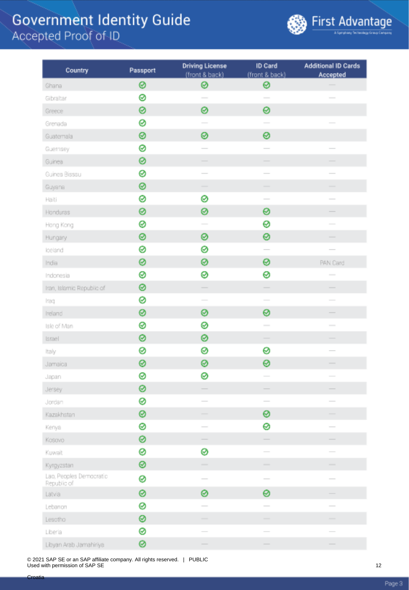

| Country                                | Passport | <b>Driving License</b><br>(front & back) | ID Card<br>(front & back)                                                                                                                                                                                                                                                                                                                                                                                                                                                  | <b>Additional ID Cards</b><br>Accepted |
|----------------------------------------|----------|------------------------------------------|----------------------------------------------------------------------------------------------------------------------------------------------------------------------------------------------------------------------------------------------------------------------------------------------------------------------------------------------------------------------------------------------------------------------------------------------------------------------------|----------------------------------------|
| Ghana                                  | 0        | ⊗                                        | ⊗                                                                                                                                                                                                                                                                                                                                                                                                                                                                          |                                        |
| Gibraltar                              | 0        | $\overline{\phantom{a}}$                 | $\overline{\phantom{a}}$                                                                                                                                                                                                                                                                                                                                                                                                                                                   |                                        |
| Greece                                 | 0        | 0                                        | 0                                                                                                                                                                                                                                                                                                                                                                                                                                                                          |                                        |
| Grenada                                | 0        |                                          | $\overline{\phantom{a}}$                                                                                                                                                                                                                                                                                                                                                                                                                                                   |                                        |
| Guatemala                              | ◎        | ⊗                                        | 0                                                                                                                                                                                                                                                                                                                                                                                                                                                                          |                                        |
| Guernsey                               | ø        |                                          | $\overline{\phantom{a}}$                                                                                                                                                                                                                                                                                                                                                                                                                                                   |                                        |
| Guinea                                 | ⊗        |                                          | $\overline{\phantom{0}}$                                                                                                                                                                                                                                                                                                                                                                                                                                                   |                                        |
| Guinea Bissau                          | 0        |                                          |                                                                                                                                                                                                                                                                                                                                                                                                                                                                            |                                        |
| Guyana                                 | ⊗        | $\overline{\phantom{a}}$                 | $\frac{1}{2} \left( \frac{1}{2} \right) \left( \frac{1}{2} \right) \left( \frac{1}{2} \right) \left( \frac{1}{2} \right) \left( \frac{1}{2} \right) \left( \frac{1}{2} \right) \left( \frac{1}{2} \right) \left( \frac{1}{2} \right) \left( \frac{1}{2} \right) \left( \frac{1}{2} \right) \left( \frac{1}{2} \right) \left( \frac{1}{2} \right) \left( \frac{1}{2} \right) \left( \frac{1}{2} \right) \left( \frac{1}{2} \right) \left( \frac{1}{2} \right) \left( \frac$ | -                                      |
| Haiti                                  | ⊗        | ⊗                                        | $\overline{\phantom{a}}$                                                                                                                                                                                                                                                                                                                                                                                                                                                   | $\overline{\phantom{a}}$               |
| Honduras                               | 0        | ⊗                                        | 0                                                                                                                                                                                                                                                                                                                                                                                                                                                                          | -                                      |
| Hong Kong                              | 0        |                                          | ⊗                                                                                                                                                                                                                                                                                                                                                                                                                                                                          |                                        |
| Hungary                                | 0        | ⊗                                        | 0                                                                                                                                                                                                                                                                                                                                                                                                                                                                          |                                        |
| loeland                                | ⊗        | ⊗                                        |                                                                                                                                                                                                                                                                                                                                                                                                                                                                            | $\frac{1}{2}$                          |
| India                                  | 0        | ⊗                                        | 0                                                                                                                                                                                                                                                                                                                                                                                                                                                                          | <b>PAN Card</b>                        |
| Indonesia                              | 0        | ⊗                                        | 0                                                                                                                                                                                                                                                                                                                                                                                                                                                                          | $\overline{\phantom{a}}$               |
| Iran, Islamic Republic of              | ◎        | Ξ                                        |                                                                                                                                                                                                                                                                                                                                                                                                                                                                            |                                        |
| Iraq                                   | ⊗        | $\sim$                                   | $\overline{\phantom{0}}$                                                                                                                                                                                                                                                                                                                                                                                                                                                   |                                        |
| Ireland                                | 0        | ⊗                                        | 0                                                                                                                                                                                                                                                                                                                                                                                                                                                                          | -                                      |
| Isle of Man                            | ⊗        | 0                                        |                                                                                                                                                                                                                                                                                                                                                                                                                                                                            |                                        |
| Israel                                 | ⊗        | ⊗                                        |                                                                                                                                                                                                                                                                                                                                                                                                                                                                            | -                                      |
| Italy                                  | 0        | ⊗                                        | 0                                                                                                                                                                                                                                                                                                                                                                                                                                                                          |                                        |
| Jamaica                                | 0        | ⊗                                        | 0                                                                                                                                                                                                                                                                                                                                                                                                                                                                          |                                        |
| Japan                                  | ⊗        | ⊗                                        |                                                                                                                                                                                                                                                                                                                                                                                                                                                                            |                                        |
| Jersey                                 | ◎        |                                          |                                                                                                                                                                                                                                                                                                                                                                                                                                                                            |                                        |
| Jordan                                 | 0        |                                          |                                                                                                                                                                                                                                                                                                                                                                                                                                                                            |                                        |
| Kazakhstan                             | ◎        | $\overline{\phantom{a}}$                 | ◎                                                                                                                                                                                                                                                                                                                                                                                                                                                                          | $\overline{\phantom{a}}$               |
| Kenya                                  | 0        | $\sim$                                   | 0                                                                                                                                                                                                                                                                                                                                                                                                                                                                          | $\overline{\phantom{a}}$               |
| Kosovo                                 | ⊗        |                                          |                                                                                                                                                                                                                                                                                                                                                                                                                                                                            |                                        |
| Kuwait                                 | ⊗        | ⊗                                        |                                                                                                                                                                                                                                                                                                                                                                                                                                                                            |                                        |
| Kyrgyzstan                             | ⊗        |                                          | $\overline{\phantom{a}}$                                                                                                                                                                                                                                                                                                                                                                                                                                                   | -                                      |
| Lao, Peoples Democratic<br>Republic of | 0        |                                          | $\qquad \qquad$                                                                                                                                                                                                                                                                                                                                                                                                                                                            |                                        |
| Latvia                                 | 0        | 0                                        | 0                                                                                                                                                                                                                                                                                                                                                                                                                                                                          |                                        |
| Lebanon                                | 0        |                                          |                                                                                                                                                                                                                                                                                                                                                                                                                                                                            |                                        |
| Lesotho                                | ◎        |                                          | -                                                                                                                                                                                                                                                                                                                                                                                                                                                                          |                                        |
| Liberia                                | ⊗        | $\sim$                                   | $\sim$                                                                                                                                                                                                                                                                                                                                                                                                                                                                     |                                        |
| Libyan Arab Jamahiriya                 | ◎        | $\frac{1}{2}$                            | $\qquad \qquad$                                                                                                                                                                                                                                                                                                                                                                                                                                                            | $\frac{1}{2}$                          |

© 2021 SAP SE or an SAP affiliate company. All rights reserved. | PUBLIC Used with permission of SAP SE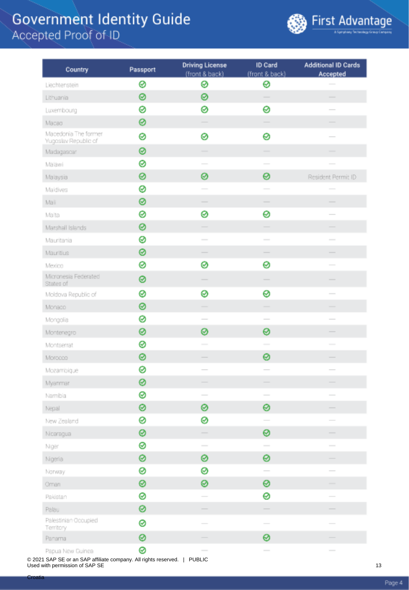

| Country                                      | Passport | <b>Driving License</b><br>(front & back)                                                                                                                                                                                                                                                                                                                                                                                                                                   | ID Card<br>(front & back)                                                                      | <b>Additional ID Cards</b><br>Accepted                                                                                                                                                                                                                                                                                                                                                                                                                                     |
|----------------------------------------------|----------|----------------------------------------------------------------------------------------------------------------------------------------------------------------------------------------------------------------------------------------------------------------------------------------------------------------------------------------------------------------------------------------------------------------------------------------------------------------------------|------------------------------------------------------------------------------------------------|----------------------------------------------------------------------------------------------------------------------------------------------------------------------------------------------------------------------------------------------------------------------------------------------------------------------------------------------------------------------------------------------------------------------------------------------------------------------------|
| Liechtenstein                                | 0        | ⊗                                                                                                                                                                                                                                                                                                                                                                                                                                                                          | ⊗                                                                                              |                                                                                                                                                                                                                                                                                                                                                                                                                                                                            |
| Lithuania                                    | 0        | ⊗                                                                                                                                                                                                                                                                                                                                                                                                                                                                          | $\sim$                                                                                         | $\frac{1}{2} \left( \frac{1}{2} \right) \left( \frac{1}{2} \right) \left( \frac{1}{2} \right) \left( \frac{1}{2} \right) \left( \frac{1}{2} \right) \left( \frac{1}{2} \right) \left( \frac{1}{2} \right) \left( \frac{1}{2} \right) \left( \frac{1}{2} \right) \left( \frac{1}{2} \right) \left( \frac{1}{2} \right) \left( \frac{1}{2} \right) \left( \frac{1}{2} \right) \left( \frac{1}{2} \right) \left( \frac{1}{2} \right) \left( \frac{1}{2} \right) \left( \frac$ |
| Luxembourg                                   | ø        | ⊗                                                                                                                                                                                                                                                                                                                                                                                                                                                                          | 0                                                                                              |                                                                                                                                                                                                                                                                                                                                                                                                                                                                            |
| Macao                                        | 0        |                                                                                                                                                                                                                                                                                                                                                                                                                                                                            |                                                                                                |                                                                                                                                                                                                                                                                                                                                                                                                                                                                            |
| Macedonia The former<br>Yugoslav Republic of | 0        | 0                                                                                                                                                                                                                                                                                                                                                                                                                                                                          | 0                                                                                              |                                                                                                                                                                                                                                                                                                                                                                                                                                                                            |
| Madagascar                                   | ⊗        |                                                                                                                                                                                                                                                                                                                                                                                                                                                                            |                                                                                                |                                                                                                                                                                                                                                                                                                                                                                                                                                                                            |
| Malawi                                       | 0        |                                                                                                                                                                                                                                                                                                                                                                                                                                                                            |                                                                                                |                                                                                                                                                                                                                                                                                                                                                                                                                                                                            |
| Malaysia                                     | 0        | ⊗                                                                                                                                                                                                                                                                                                                                                                                                                                                                          | 0                                                                                              | Resident Permit ID                                                                                                                                                                                                                                                                                                                                                                                                                                                         |
| Maldives                                     | ⊗        |                                                                                                                                                                                                                                                                                                                                                                                                                                                                            | $\sim$                                                                                         |                                                                                                                                                                                                                                                                                                                                                                                                                                                                            |
| Mali                                         | ⊗        | $\frac{1}{2} \left( \frac{1}{2} \right) \left( \frac{1}{2} \right) \left( \frac{1}{2} \right) \left( \frac{1}{2} \right) \left( \frac{1}{2} \right) \left( \frac{1}{2} \right) \left( \frac{1}{2} \right) \left( \frac{1}{2} \right) \left( \frac{1}{2} \right) \left( \frac{1}{2} \right) \left( \frac{1}{2} \right) \left( \frac{1}{2} \right) \left( \frac{1}{2} \right) \left( \frac{1}{2} \right) \left( \frac{1}{2} \right) \left( \frac{1}{2} \right) \left( \frac$ | $\overline{\phantom{a}}$                                                                       | $\overline{\phantom{a}}$                                                                                                                                                                                                                                                                                                                                                                                                                                                   |
| Malta                                        | 0        | ⊗                                                                                                                                                                                                                                                                                                                                                                                                                                                                          | 0                                                                                              | $\frac{1}{2} \left( \frac{1}{2} \right) \left( \frac{1}{2} \right) \left( \frac{1}{2} \right) \left( \frac{1}{2} \right) \left( \frac{1}{2} \right) \left( \frac{1}{2} \right) \left( \frac{1}{2} \right) \left( \frac{1}{2} \right) \left( \frac{1}{2} \right) \left( \frac{1}{2} \right) \left( \frac{1}{2} \right) \left( \frac{1}{2} \right) \left( \frac{1}{2} \right) \left( \frac{1}{2} \right) \left( \frac{1}{2} \right) \left( \frac{1}{2} \right) \left( \frac$ |
| Marshall Islands                             | 0        |                                                                                                                                                                                                                                                                                                                                                                                                                                                                            |                                                                                                |                                                                                                                                                                                                                                                                                                                                                                                                                                                                            |
| Mauritania                                   | 0        | $\sim$                                                                                                                                                                                                                                                                                                                                                                                                                                                                     | $\sim$                                                                                         | $\overline{\phantom{0}}$                                                                                                                                                                                                                                                                                                                                                                                                                                                   |
| Mauritius                                    | 0        |                                                                                                                                                                                                                                                                                                                                                                                                                                                                            |                                                                                                |                                                                                                                                                                                                                                                                                                                                                                                                                                                                            |
| Mexico                                       | 0        | ⊗                                                                                                                                                                                                                                                                                                                                                                                                                                                                          | 0                                                                                              |                                                                                                                                                                                                                                                                                                                                                                                                                                                                            |
| Micronesia Federated<br>States of            | 0        |                                                                                                                                                                                                                                                                                                                                                                                                                                                                            |                                                                                                |                                                                                                                                                                                                                                                                                                                                                                                                                                                                            |
| Moldova Republic of                          | 0        | ⊗                                                                                                                                                                                                                                                                                                                                                                                                                                                                          | ⊗                                                                                              | $\frac{1}{2}$                                                                                                                                                                                                                                                                                                                                                                                                                                                              |
| Monado                                       | 0        |                                                                                                                                                                                                                                                                                                                                                                                                                                                                            | -                                                                                              |                                                                                                                                                                                                                                                                                                                                                                                                                                                                            |
| Mongolia                                     | 0        |                                                                                                                                                                                                                                                                                                                                                                                                                                                                            | $\overline{\phantom{a}}$                                                                       |                                                                                                                                                                                                                                                                                                                                                                                                                                                                            |
| Montenegro                                   | 0        | ⊗                                                                                                                                                                                                                                                                                                                                                                                                                                                                          | 0                                                                                              |                                                                                                                                                                                                                                                                                                                                                                                                                                                                            |
| Montserrat                                   | 0        | $\sim$                                                                                                                                                                                                                                                                                                                                                                                                                                                                     | $\sim$                                                                                         | $\sim$                                                                                                                                                                                                                                                                                                                                                                                                                                                                     |
| Morocco                                      | ◎        |                                                                                                                                                                                                                                                                                                                                                                                                                                                                            | 0                                                                                              |                                                                                                                                                                                                                                                                                                                                                                                                                                                                            |
| Mozambique                                   | ⊗        |                                                                                                                                                                                                                                                                                                                                                                                                                                                                            | $\sim$                                                                                         | $\overline{\phantom{a}}$                                                                                                                                                                                                                                                                                                                                                                                                                                                   |
| Myanmar                                      | 0        |                                                                                                                                                                                                                                                                                                                                                                                                                                                                            |                                                                                                |                                                                                                                                                                                                                                                                                                                                                                                                                                                                            |
| Namibia                                      | ⊗        |                                                                                                                                                                                                                                                                                                                                                                                                                                                                            | $\frac{1}{2} \left( \frac{1}{2} \right) \left( \frac{1}{2} \right) \left( \frac{1}{2} \right)$ |                                                                                                                                                                                                                                                                                                                                                                                                                                                                            |
| Nepal                                        | ⊗        | ⊗                                                                                                                                                                                                                                                                                                                                                                                                                                                                          | 0                                                                                              |                                                                                                                                                                                                                                                                                                                                                                                                                                                                            |
| New Zealand                                  | 0        | ⊗                                                                                                                                                                                                                                                                                                                                                                                                                                                                          |                                                                                                |                                                                                                                                                                                                                                                                                                                                                                                                                                                                            |
| Nicaragua                                    | ⊗        |                                                                                                                                                                                                                                                                                                                                                                                                                                                                            | ⊗                                                                                              |                                                                                                                                                                                                                                                                                                                                                                                                                                                                            |
| Niger                                        | 0        | $\sim$                                                                                                                                                                                                                                                                                                                                                                                                                                                                     | $\sim$                                                                                         |                                                                                                                                                                                                                                                                                                                                                                                                                                                                            |
| Nigeria                                      | 0        | ⊗                                                                                                                                                                                                                                                                                                                                                                                                                                                                          | 0                                                                                              |                                                                                                                                                                                                                                                                                                                                                                                                                                                                            |
| Norway                                       | 0        | ⊗                                                                                                                                                                                                                                                                                                                                                                                                                                                                          | $\overline{\phantom{a}}$                                                                       |                                                                                                                                                                                                                                                                                                                                                                                                                                                                            |
| Oman                                         | ⊗        | ⊗                                                                                                                                                                                                                                                                                                                                                                                                                                                                          | 0                                                                                              | $\overline{\phantom{a}}$                                                                                                                                                                                                                                                                                                                                                                                                                                                   |
| Pakistan                                     | 0        |                                                                                                                                                                                                                                                                                                                                                                                                                                                                            | 0                                                                                              |                                                                                                                                                                                                                                                                                                                                                                                                                                                                            |
| Palau                                        | 0        |                                                                                                                                                                                                                                                                                                                                                                                                                                                                            |                                                                                                |                                                                                                                                                                                                                                                                                                                                                                                                                                                                            |
| Palestinian Occupied<br>Territory            | 0        |                                                                                                                                                                                                                                                                                                                                                                                                                                                                            | $\overline{\phantom{a}}$                                                                       |                                                                                                                                                                                                                                                                                                                                                                                                                                                                            |
| Panama                                       | 0        |                                                                                                                                                                                                                                                                                                                                                                                                                                                                            | ⊗                                                                                              |                                                                                                                                                                                                                                                                                                                                                                                                                                                                            |
| Papua New Guinea                             | ⊗        | $\frac{1}{2} \left( \frac{1}{2} \right)^2 + \frac{1}{2} \left( \frac{1}{2} \right)^2 + \frac{1}{2} \left( \frac{1}{2} \right)^2 + \frac{1}{2} \left( \frac{1}{2} \right)^2 + \frac{1}{2} \left( \frac{1}{2} \right)^2 + \frac{1}{2} \left( \frac{1}{2} \right)^2 + \frac{1}{2} \left( \frac{1}{2} \right)^2 + \frac{1}{2} \left( \frac{1}{2} \right)^2 + \frac{1}{2} \left( \frac{1}{2} \right)^2 + \frac{1}{2} \left( \frac{1}{2} \right)^2 +$                            |                                                                                                | $\overline{\phantom{a}}$                                                                                                                                                                                                                                                                                                                                                                                                                                                   |

© 2021 SAP SE or an SAP affiliate company. All rights reserved. | PUBLIC Used with permission of SAP SE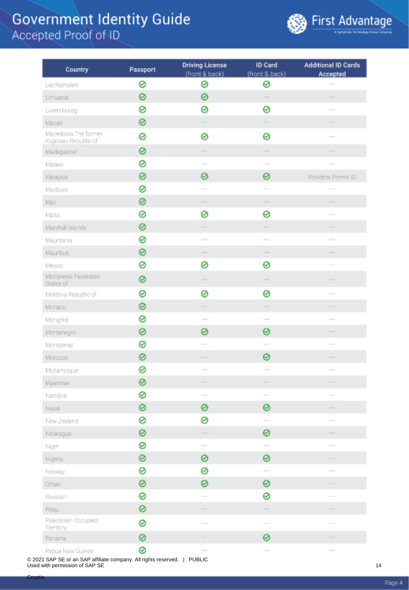

| Country                                      | Passport | <b>Driving License</b><br>(front & back)                                                                                                                                                                                                                                                                                                                                                                                                                                   | ID Card<br>(front & back)                                                                      | <b>Additional ID Cards</b><br>Accepted                                                                                                                                                                                                                                                                                                                                                                                                                                     |
|----------------------------------------------|----------|----------------------------------------------------------------------------------------------------------------------------------------------------------------------------------------------------------------------------------------------------------------------------------------------------------------------------------------------------------------------------------------------------------------------------------------------------------------------------|------------------------------------------------------------------------------------------------|----------------------------------------------------------------------------------------------------------------------------------------------------------------------------------------------------------------------------------------------------------------------------------------------------------------------------------------------------------------------------------------------------------------------------------------------------------------------------|
| Liechtenstein                                | 0        | ⊗                                                                                                                                                                                                                                                                                                                                                                                                                                                                          | ⊗                                                                                              |                                                                                                                                                                                                                                                                                                                                                                                                                                                                            |
| Lithuania                                    | 0        | ⊗                                                                                                                                                                                                                                                                                                                                                                                                                                                                          | $\sim$                                                                                         | $\frac{1}{2} \left( \frac{1}{2} \right) \left( \frac{1}{2} \right) \left( \frac{1}{2} \right) \left( \frac{1}{2} \right) \left( \frac{1}{2} \right) \left( \frac{1}{2} \right) \left( \frac{1}{2} \right) \left( \frac{1}{2} \right) \left( \frac{1}{2} \right) \left( \frac{1}{2} \right) \left( \frac{1}{2} \right) \left( \frac{1}{2} \right) \left( \frac{1}{2} \right) \left( \frac{1}{2} \right) \left( \frac{1}{2} \right) \left( \frac{1}{2} \right) \left( \frac$ |
| Luxembourg                                   | ø        | ⊗                                                                                                                                                                                                                                                                                                                                                                                                                                                                          | 0                                                                                              |                                                                                                                                                                                                                                                                                                                                                                                                                                                                            |
| Macao                                        | 0        |                                                                                                                                                                                                                                                                                                                                                                                                                                                                            |                                                                                                |                                                                                                                                                                                                                                                                                                                                                                                                                                                                            |
| Macedonia The former<br>Yugoslav Republic of | 0        | 0                                                                                                                                                                                                                                                                                                                                                                                                                                                                          | 0                                                                                              |                                                                                                                                                                                                                                                                                                                                                                                                                                                                            |
| Madagascar                                   | ⊗        |                                                                                                                                                                                                                                                                                                                                                                                                                                                                            |                                                                                                |                                                                                                                                                                                                                                                                                                                                                                                                                                                                            |
| Malawi                                       | ø        |                                                                                                                                                                                                                                                                                                                                                                                                                                                                            |                                                                                                |                                                                                                                                                                                                                                                                                                                                                                                                                                                                            |
| Malaysia                                     | 0        | ⊗                                                                                                                                                                                                                                                                                                                                                                                                                                                                          | 0                                                                                              | Resident Permit ID                                                                                                                                                                                                                                                                                                                                                                                                                                                         |
| Maldives                                     | ⊗        |                                                                                                                                                                                                                                                                                                                                                                                                                                                                            | $\sim$                                                                                         |                                                                                                                                                                                                                                                                                                                                                                                                                                                                            |
| Mali                                         | ⊗        | $\frac{1}{2} \left( \frac{1}{2} \right) \left( \frac{1}{2} \right) \left( \frac{1}{2} \right) \left( \frac{1}{2} \right) \left( \frac{1}{2} \right) \left( \frac{1}{2} \right) \left( \frac{1}{2} \right) \left( \frac{1}{2} \right) \left( \frac{1}{2} \right) \left( \frac{1}{2} \right) \left( \frac{1}{2} \right) \left( \frac{1}{2} \right) \left( \frac{1}{2} \right) \left( \frac{1}{2} \right) \left( \frac{1}{2} \right) \left( \frac{1}{2} \right) \left( \frac$ | $\overline{\phantom{a}}$                                                                       | $\overline{\phantom{a}}$                                                                                                                                                                                                                                                                                                                                                                                                                                                   |
| Malta                                        | 0        | ⊗                                                                                                                                                                                                                                                                                                                                                                                                                                                                          | 0                                                                                              | $\frac{1}{2} \left( \frac{1}{2} \right) \left( \frac{1}{2} \right) \left( \frac{1}{2} \right) \left( \frac{1}{2} \right) \left( \frac{1}{2} \right) \left( \frac{1}{2} \right) \left( \frac{1}{2} \right) \left( \frac{1}{2} \right) \left( \frac{1}{2} \right) \left( \frac{1}{2} \right) \left( \frac{1}{2} \right) \left( \frac{1}{2} \right) \left( \frac{1}{2} \right) \left( \frac{1}{2} \right) \left( \frac{1}{2} \right) \left( \frac{1}{2} \right) \left( \frac$ |
| Marshall Islands                             | 0        |                                                                                                                                                                                                                                                                                                                                                                                                                                                                            |                                                                                                |                                                                                                                                                                                                                                                                                                                                                                                                                                                                            |
| Mauritania                                   | 0        | $\sim$                                                                                                                                                                                                                                                                                                                                                                                                                                                                     | $\sim$                                                                                         | $\overline{\phantom{0}}$                                                                                                                                                                                                                                                                                                                                                                                                                                                   |
| Mauritius                                    | 0        |                                                                                                                                                                                                                                                                                                                                                                                                                                                                            |                                                                                                |                                                                                                                                                                                                                                                                                                                                                                                                                                                                            |
| Mexico                                       | 0        | ⊗                                                                                                                                                                                                                                                                                                                                                                                                                                                                          | 0                                                                                              |                                                                                                                                                                                                                                                                                                                                                                                                                                                                            |
| Micronesia Federated<br>States of            | 0        |                                                                                                                                                                                                                                                                                                                                                                                                                                                                            |                                                                                                |                                                                                                                                                                                                                                                                                                                                                                                                                                                                            |
| Moldova Republic of                          | 0        | ⊗                                                                                                                                                                                                                                                                                                                                                                                                                                                                          | ⊗                                                                                              | $\frac{1}{2}$                                                                                                                                                                                                                                                                                                                                                                                                                                                              |
| Monado                                       | 0        |                                                                                                                                                                                                                                                                                                                                                                                                                                                                            | -                                                                                              |                                                                                                                                                                                                                                                                                                                                                                                                                                                                            |
| Mongolia                                     | 0        |                                                                                                                                                                                                                                                                                                                                                                                                                                                                            | $\overline{\phantom{a}}$                                                                       |                                                                                                                                                                                                                                                                                                                                                                                                                                                                            |
| Montenegro                                   | 0        | ⊗                                                                                                                                                                                                                                                                                                                                                                                                                                                                          | 0                                                                                              |                                                                                                                                                                                                                                                                                                                                                                                                                                                                            |
| Montserrat                                   | 0        | $\sim$                                                                                                                                                                                                                                                                                                                                                                                                                                                                     | $\sim$                                                                                         | $\sim$                                                                                                                                                                                                                                                                                                                                                                                                                                                                     |
| Morocco                                      | ◎        |                                                                                                                                                                                                                                                                                                                                                                                                                                                                            | 0                                                                                              |                                                                                                                                                                                                                                                                                                                                                                                                                                                                            |
| Mozambique                                   | ⊗        |                                                                                                                                                                                                                                                                                                                                                                                                                                                                            | $\sim$                                                                                         | $\overline{\phantom{a}}$                                                                                                                                                                                                                                                                                                                                                                                                                                                   |
| Myanmar                                      | 0        |                                                                                                                                                                                                                                                                                                                                                                                                                                                                            |                                                                                                |                                                                                                                                                                                                                                                                                                                                                                                                                                                                            |
| Namibia                                      | ⊗        |                                                                                                                                                                                                                                                                                                                                                                                                                                                                            | $\frac{1}{2} \left( \frac{1}{2} \right) \left( \frac{1}{2} \right) \left( \frac{1}{2} \right)$ |                                                                                                                                                                                                                                                                                                                                                                                                                                                                            |
| Nepal                                        | ⊗        | ⊗                                                                                                                                                                                                                                                                                                                                                                                                                                                                          | 0                                                                                              |                                                                                                                                                                                                                                                                                                                                                                                                                                                                            |
| New Zealand                                  | 0        | ⊗                                                                                                                                                                                                                                                                                                                                                                                                                                                                          |                                                                                                |                                                                                                                                                                                                                                                                                                                                                                                                                                                                            |
| Nicaragua                                    | ⊗        |                                                                                                                                                                                                                                                                                                                                                                                                                                                                            | ⊗                                                                                              |                                                                                                                                                                                                                                                                                                                                                                                                                                                                            |
| Niger                                        | 0        | $\sim$                                                                                                                                                                                                                                                                                                                                                                                                                                                                     | $\sim$                                                                                         |                                                                                                                                                                                                                                                                                                                                                                                                                                                                            |
| Nigeria                                      | 0        | ⊗                                                                                                                                                                                                                                                                                                                                                                                                                                                                          | 0                                                                                              |                                                                                                                                                                                                                                                                                                                                                                                                                                                                            |
| Norway                                       | 0        | ⊗                                                                                                                                                                                                                                                                                                                                                                                                                                                                          | $\overline{\phantom{a}}$                                                                       |                                                                                                                                                                                                                                                                                                                                                                                                                                                                            |
| Oman                                         | ⊗        | ⊗                                                                                                                                                                                                                                                                                                                                                                                                                                                                          | 0                                                                                              | $\overline{\phantom{a}}$                                                                                                                                                                                                                                                                                                                                                                                                                                                   |
| Pakistan                                     | 0        |                                                                                                                                                                                                                                                                                                                                                                                                                                                                            | 0                                                                                              |                                                                                                                                                                                                                                                                                                                                                                                                                                                                            |
| Palau                                        | 0        |                                                                                                                                                                                                                                                                                                                                                                                                                                                                            |                                                                                                |                                                                                                                                                                                                                                                                                                                                                                                                                                                                            |
| Palestinian Occupied<br>Territory            | 0        |                                                                                                                                                                                                                                                                                                                                                                                                                                                                            | $\overline{\phantom{a}}$                                                                       |                                                                                                                                                                                                                                                                                                                                                                                                                                                                            |
| Panama                                       | 0        |                                                                                                                                                                                                                                                                                                                                                                                                                                                                            | ⊗                                                                                              |                                                                                                                                                                                                                                                                                                                                                                                                                                                                            |
| Papua New Guinea                             | ⊗        | $\frac{1}{2} \left( \frac{1}{2} \right)^2 + \frac{1}{2} \left( \frac{1}{2} \right)^2 + \frac{1}{2} \left( \frac{1}{2} \right)^2 + \frac{1}{2} \left( \frac{1}{2} \right)^2 + \frac{1}{2} \left( \frac{1}{2} \right)^2 + \frac{1}{2} \left( \frac{1}{2} \right)^2 + \frac{1}{2} \left( \frac{1}{2} \right)^2 + \frac{1}{2} \left( \frac{1}{2} \right)^2 + \frac{1}{2} \left( \frac{1}{2} \right)^2 + \frac{1}{2} \left( \frac{1}{2} \right)^2 +$                            |                                                                                                | $\overline{\phantom{a}}$                                                                                                                                                                                                                                                                                                                                                                                                                                                   |

© 2021 SAP SE or an SAP affiliate company. All rights reserved. | PUBLIC Used with permission of SAP SE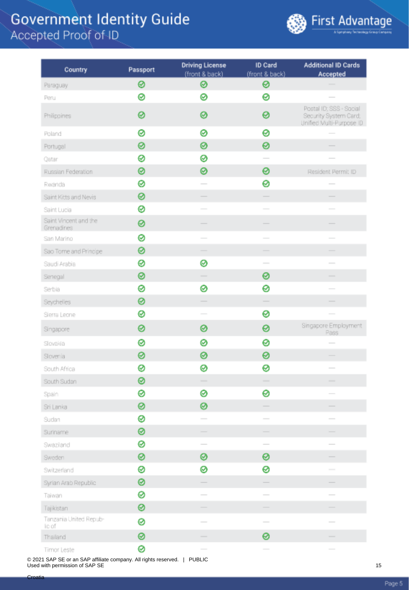

| Country                             | Passport | <b>Driving License</b><br>(front & back)                                                                                                                                                                                                                                                                                                                                                                                                                                   | ID Card<br>(front & back)                                                                                                                                                                                                                                                                                                                                                                                                                                                  | <b>Additional ID Cards</b><br>Accepted                                                                                                                                                                                                                                                                                                                                                                                                                                     |
|-------------------------------------|----------|----------------------------------------------------------------------------------------------------------------------------------------------------------------------------------------------------------------------------------------------------------------------------------------------------------------------------------------------------------------------------------------------------------------------------------------------------------------------------|----------------------------------------------------------------------------------------------------------------------------------------------------------------------------------------------------------------------------------------------------------------------------------------------------------------------------------------------------------------------------------------------------------------------------------------------------------------------------|----------------------------------------------------------------------------------------------------------------------------------------------------------------------------------------------------------------------------------------------------------------------------------------------------------------------------------------------------------------------------------------------------------------------------------------------------------------------------|
| Paraguay                            | 0        | ⊗                                                                                                                                                                                                                                                                                                                                                                                                                                                                          | 0                                                                                                                                                                                                                                                                                                                                                                                                                                                                          |                                                                                                                                                                                                                                                                                                                                                                                                                                                                            |
| Peru                                | ⊗        | ⊗                                                                                                                                                                                                                                                                                                                                                                                                                                                                          | 0                                                                                                                                                                                                                                                                                                                                                                                                                                                                          |                                                                                                                                                                                                                                                                                                                                                                                                                                                                            |
| Philippines                         | 0        | ⊗                                                                                                                                                                                                                                                                                                                                                                                                                                                                          | 0                                                                                                                                                                                                                                                                                                                                                                                                                                                                          | Postal ID; SSS - Social<br>Security System Card;<br>Unified Multi-Purpose ID                                                                                                                                                                                                                                                                                                                                                                                               |
| Poland                              | 0        | ⊗                                                                                                                                                                                                                                                                                                                                                                                                                                                                          | 0                                                                                                                                                                                                                                                                                                                                                                                                                                                                          |                                                                                                                                                                                                                                                                                                                                                                                                                                                                            |
| Portugal                            | 0        | ø                                                                                                                                                                                                                                                                                                                                                                                                                                                                          | 0                                                                                                                                                                                                                                                                                                                                                                                                                                                                          |                                                                                                                                                                                                                                                                                                                                                                                                                                                                            |
| Qatar                               | 0        | ⊗                                                                                                                                                                                                                                                                                                                                                                                                                                                                          |                                                                                                                                                                                                                                                                                                                                                                                                                                                                            |                                                                                                                                                                                                                                                                                                                                                                                                                                                                            |
| Russian Federation                  | 0        | 0                                                                                                                                                                                                                                                                                                                                                                                                                                                                          | 0                                                                                                                                                                                                                                                                                                                                                                                                                                                                          | Resident Permit ID                                                                                                                                                                                                                                                                                                                                                                                                                                                         |
| Rwanda                              | ø        |                                                                                                                                                                                                                                                                                                                                                                                                                                                                            | 0                                                                                                                                                                                                                                                                                                                                                                                                                                                                          |                                                                                                                                                                                                                                                                                                                                                                                                                                                                            |
| Saint Kitts and Nevis               | ⊗        |                                                                                                                                                                                                                                                                                                                                                                                                                                                                            |                                                                                                                                                                                                                                                                                                                                                                                                                                                                            |                                                                                                                                                                                                                                                                                                                                                                                                                                                                            |
| Saint Lucia                         | 0        |                                                                                                                                                                                                                                                                                                                                                                                                                                                                            |                                                                                                                                                                                                                                                                                                                                                                                                                                                                            |                                                                                                                                                                                                                                                                                                                                                                                                                                                                            |
| Saint Vincent and the<br>Grenadines | 0        |                                                                                                                                                                                                                                                                                                                                                                                                                                                                            |                                                                                                                                                                                                                                                                                                                                                                                                                                                                            |                                                                                                                                                                                                                                                                                                                                                                                                                                                                            |
| San Marino                          | 0        |                                                                                                                                                                                                                                                                                                                                                                                                                                                                            | $\sim$                                                                                                                                                                                                                                                                                                                                                                                                                                                                     |                                                                                                                                                                                                                                                                                                                                                                                                                                                                            |
| Sao Tome and Principe               | 0        |                                                                                                                                                                                                                                                                                                                                                                                                                                                                            |                                                                                                                                                                                                                                                                                                                                                                                                                                                                            |                                                                                                                                                                                                                                                                                                                                                                                                                                                                            |
| Saudi Arabia                        | 0        | ⊗                                                                                                                                                                                                                                                                                                                                                                                                                                                                          | $\sim$                                                                                                                                                                                                                                                                                                                                                                                                                                                                     | $\sim$                                                                                                                                                                                                                                                                                                                                                                                                                                                                     |
| Senegal                             | ⊗        |                                                                                                                                                                                                                                                                                                                                                                                                                                                                            | 0                                                                                                                                                                                                                                                                                                                                                                                                                                                                          |                                                                                                                                                                                                                                                                                                                                                                                                                                                                            |
| Serbia                              | 0        | ⊗                                                                                                                                                                                                                                                                                                                                                                                                                                                                          | 0                                                                                                                                                                                                                                                                                                                                                                                                                                                                          |                                                                                                                                                                                                                                                                                                                                                                                                                                                                            |
| Seychelles                          | 0        |                                                                                                                                                                                                                                                                                                                                                                                                                                                                            | $\qquad \qquad$                                                                                                                                                                                                                                                                                                                                                                                                                                                            |                                                                                                                                                                                                                                                                                                                                                                                                                                                                            |
| Sierra Leone                        | 0        | $\sim$                                                                                                                                                                                                                                                                                                                                                                                                                                                                     | 0                                                                                                                                                                                                                                                                                                                                                                                                                                                                          |                                                                                                                                                                                                                                                                                                                                                                                                                                                                            |
| Singapore                           | 0        | ⊗                                                                                                                                                                                                                                                                                                                                                                                                                                                                          | 0                                                                                                                                                                                                                                                                                                                                                                                                                                                                          | Singapore Employment<br>Pass                                                                                                                                                                                                                                                                                                                                                                                                                                               |
| Slovakia                            | 0        | ⊗                                                                                                                                                                                                                                                                                                                                                                                                                                                                          | 0                                                                                                                                                                                                                                                                                                                                                                                                                                                                          |                                                                                                                                                                                                                                                                                                                                                                                                                                                                            |
| Slovenia                            | 0        | ⊗                                                                                                                                                                                                                                                                                                                                                                                                                                                                          | 0                                                                                                                                                                                                                                                                                                                                                                                                                                                                          |                                                                                                                                                                                                                                                                                                                                                                                                                                                                            |
| South Africa                        | 0        | ⊗                                                                                                                                                                                                                                                                                                                                                                                                                                                                          | 0                                                                                                                                                                                                                                                                                                                                                                                                                                                                          | $\frac{1}{2} \left( \frac{1}{2} \right) \left( \frac{1}{2} \right) \left( \frac{1}{2} \right) \left( \frac{1}{2} \right) \left( \frac{1}{2} \right) \left( \frac{1}{2} \right) \left( \frac{1}{2} \right) \left( \frac{1}{2} \right) \left( \frac{1}{2} \right) \left( \frac{1}{2} \right) \left( \frac{1}{2} \right) \left( \frac{1}{2} \right) \left( \frac{1}{2} \right) \left( \frac{1}{2} \right) \left( \frac{1}{2} \right) \left( \frac{1}{2} \right) \left( \frac$ |
| South Sudan                         | ⊗        | $\sim$                                                                                                                                                                                                                                                                                                                                                                                                                                                                     | $\frac{1}{2} \left( \frac{1}{2} \right) \left( \frac{1}{2} \right) \left( \frac{1}{2} \right) \left( \frac{1}{2} \right) \left( \frac{1}{2} \right) \left( \frac{1}{2} \right) \left( \frac{1}{2} \right) \left( \frac{1}{2} \right) \left( \frac{1}{2} \right) \left( \frac{1}{2} \right) \left( \frac{1}{2} \right) \left( \frac{1}{2} \right) \left( \frac{1}{2} \right) \left( \frac{1}{2} \right) \left( \frac{1}{2} \right) \left( \frac{1}{2} \right) \left( \frac$ | -                                                                                                                                                                                                                                                                                                                                                                                                                                                                          |
| Spain                               | 0        | ⊗                                                                                                                                                                                                                                                                                                                                                                                                                                                                          | 0                                                                                                                                                                                                                                                                                                                                                                                                                                                                          |                                                                                                                                                                                                                                                                                                                                                                                                                                                                            |
| Sri Lanka                           | ⊗        | 0                                                                                                                                                                                                                                                                                                                                                                                                                                                                          |                                                                                                                                                                                                                                                                                                                                                                                                                                                                            |                                                                                                                                                                                                                                                                                                                                                                                                                                                                            |
| Sudan                               | ⊗        | $\frac{1}{2} \left( \frac{1}{2} \right) \left( \frac{1}{2} \right) \left( \frac{1}{2} \right) \left( \frac{1}{2} \right) \left( \frac{1}{2} \right) \left( \frac{1}{2} \right) \left( \frac{1}{2} \right) \left( \frac{1}{2} \right) \left( \frac{1}{2} \right) \left( \frac{1}{2} \right) \left( \frac{1}{2} \right) \left( \frac{1}{2} \right) \left( \frac{1}{2} \right) \left( \frac{1}{2} \right) \left( \frac{1}{2} \right) \left( \frac{1}{2} \right) \left( \frac$ | $\frac{1}{2} \left( \frac{1}{2} \right) \left( \frac{1}{2} \right) \left( \frac{1}{2} \right) \left( \frac{1}{2} \right) \left( \frac{1}{2} \right) \left( \frac{1}{2} \right) \left( \frac{1}{2} \right) \left( \frac{1}{2} \right) \left( \frac{1}{2} \right) \left( \frac{1}{2} \right) \left( \frac{1}{2} \right) \left( \frac{1}{2} \right) \left( \frac{1}{2} \right) \left( \frac{1}{2} \right) \left( \frac{1}{2} \right) \left( \frac{1}{2} \right) \left( \frac$ | $\frac{1}{2}$                                                                                                                                                                                                                                                                                                                                                                                                                                                              |
| Suriname                            | ⊗        |                                                                                                                                                                                                                                                                                                                                                                                                                                                                            |                                                                                                                                                                                                                                                                                                                                                                                                                                                                            |                                                                                                                                                                                                                                                                                                                                                                                                                                                                            |
| Swaziand                            | ⊗        | $\overline{\phantom{a}}$                                                                                                                                                                                                                                                                                                                                                                                                                                                   | $\overline{\phantom{a}}$                                                                                                                                                                                                                                                                                                                                                                                                                                                   |                                                                                                                                                                                                                                                                                                                                                                                                                                                                            |
| Sweden                              | ⊗        | ⊗                                                                                                                                                                                                                                                                                                                                                                                                                                                                          | 0                                                                                                                                                                                                                                                                                                                                                                                                                                                                          |                                                                                                                                                                                                                                                                                                                                                                                                                                                                            |
| Switzerland                         | ⊗        | ⊗                                                                                                                                                                                                                                                                                                                                                                                                                                                                          | 0                                                                                                                                                                                                                                                                                                                                                                                                                                                                          | $\overline{\phantom{a}}$                                                                                                                                                                                                                                                                                                                                                                                                                                                   |
| Syrian Arab Republic                | ⊗        |                                                                                                                                                                                                                                                                                                                                                                                                                                                                            |                                                                                                                                                                                                                                                                                                                                                                                                                                                                            |                                                                                                                                                                                                                                                                                                                                                                                                                                                                            |
| Taiwan                              | ⊗        |                                                                                                                                                                                                                                                                                                                                                                                                                                                                            | $\overline{\phantom{a}}$                                                                                                                                                                                                                                                                                                                                                                                                                                                   | $\overline{\phantom{a}}$                                                                                                                                                                                                                                                                                                                                                                                                                                                   |
| Tajikistan                          | ⊗        |                                                                                                                                                                                                                                                                                                                                                                                                                                                                            |                                                                                                                                                                                                                                                                                                                                                                                                                                                                            |                                                                                                                                                                                                                                                                                                                                                                                                                                                                            |
| Tanzania United Repub-<br>ic of     | ⊗        |                                                                                                                                                                                                                                                                                                                                                                                                                                                                            | $\sim$                                                                                                                                                                                                                                                                                                                                                                                                                                                                     |                                                                                                                                                                                                                                                                                                                                                                                                                                                                            |
| Thailand                            | 0        |                                                                                                                                                                                                                                                                                                                                                                                                                                                                            | 0                                                                                                                                                                                                                                                                                                                                                                                                                                                                          |                                                                                                                                                                                                                                                                                                                                                                                                                                                                            |
| Timor Leste                         | ⊗        |                                                                                                                                                                                                                                                                                                                                                                                                                                                                            |                                                                                                                                                                                                                                                                                                                                                                                                                                                                            |                                                                                                                                                                                                                                                                                                                                                                                                                                                                            |

© 2021 SAP SE or an SAP affiliate company. All rights reserved. | PUBLIC Used with permission of SAP SE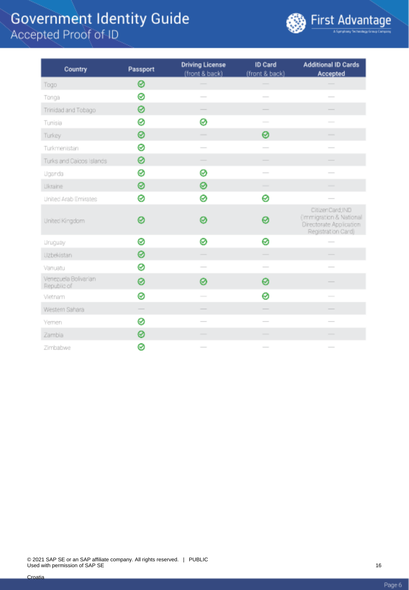

| Country                             | Passport | <b>Driving License</b><br>(front & back)                                                                                                                                                                                                                                                                                                                                                                                                                                   | ID Card<br>(front & back)                                                                                                                                                                                                                                                                                                                                                                                                                                                  | <b>Additional ID Cards</b><br>Accepted                                                                                                                                                                                                                                                                                                                                                                                                                                     |  |
|-------------------------------------|----------|----------------------------------------------------------------------------------------------------------------------------------------------------------------------------------------------------------------------------------------------------------------------------------------------------------------------------------------------------------------------------------------------------------------------------------------------------------------------------|----------------------------------------------------------------------------------------------------------------------------------------------------------------------------------------------------------------------------------------------------------------------------------------------------------------------------------------------------------------------------------------------------------------------------------------------------------------------------|----------------------------------------------------------------------------------------------------------------------------------------------------------------------------------------------------------------------------------------------------------------------------------------------------------------------------------------------------------------------------------------------------------------------------------------------------------------------------|--|
| Togo                                | 0        |                                                                                                                                                                                                                                                                                                                                                                                                                                                                            |                                                                                                                                                                                                                                                                                                                                                                                                                                                                            |                                                                                                                                                                                                                                                                                                                                                                                                                                                                            |  |
| Tonga                               | 0        | $\frac{1}{2} \left( \frac{1}{2} \right) \left( \frac{1}{2} \right) \left( \frac{1}{2} \right) \left( \frac{1}{2} \right) \left( \frac{1}{2} \right) \left( \frac{1}{2} \right) \left( \frac{1}{2} \right) \left( \frac{1}{2} \right) \left( \frac{1}{2} \right) \left( \frac{1}{2} \right) \left( \frac{1}{2} \right) \left( \frac{1}{2} \right) \left( \frac{1}{2} \right) \left( \frac{1}{2} \right) \left( \frac{1}{2} \right) \left( \frac{1}{2} \right) \left( \frac$ | $\sim$                                                                                                                                                                                                                                                                                                                                                                                                                                                                     | $\frac{1}{2}$                                                                                                                                                                                                                                                                                                                                                                                                                                                              |  |
| Trinidad and Tobago                 | 0        |                                                                                                                                                                                                                                                                                                                                                                                                                                                                            |                                                                                                                                                                                                                                                                                                                                                                                                                                                                            |                                                                                                                                                                                                                                                                                                                                                                                                                                                                            |  |
| Tunisia                             | 0        | Ø                                                                                                                                                                                                                                                                                                                                                                                                                                                                          | $\overline{\phantom{a}}$                                                                                                                                                                                                                                                                                                                                                                                                                                                   | $\overline{\phantom{a}}$                                                                                                                                                                                                                                                                                                                                                                                                                                                   |  |
| Turkey                              | 0        | $\frac{1}{2} \left( \frac{1}{2} \right) \left( \frac{1}{2} \right) \left( \frac{1}{2} \right) \left( \frac{1}{2} \right) \left( \frac{1}{2} \right) \left( \frac{1}{2} \right) \left( \frac{1}{2} \right) \left( \frac{1}{2} \right) \left( \frac{1}{2} \right) \left( \frac{1}{2} \right) \left( \frac{1}{2} \right) \left( \frac{1}{2} \right) \left( \frac{1}{2} \right) \left( \frac{1}{2} \right) \left( \frac{1}{2} \right) \left( \frac{1}{2} \right) \left( \frac$ | ⊗                                                                                                                                                                                                                                                                                                                                                                                                                                                                          | $\frac{1}{2}$                                                                                                                                                                                                                                                                                                                                                                                                                                                              |  |
| Turkmenistan                        | 0        | $\sim$                                                                                                                                                                                                                                                                                                                                                                                                                                                                     | $\sim$                                                                                                                                                                                                                                                                                                                                                                                                                                                                     | $\frac{1}{2}$                                                                                                                                                                                                                                                                                                                                                                                                                                                              |  |
| Turks and Caicos Islands            | 0        |                                                                                                                                                                                                                                                                                                                                                                                                                                                                            |                                                                                                                                                                                                                                                                                                                                                                                                                                                                            |                                                                                                                                                                                                                                                                                                                                                                                                                                                                            |  |
| Uganda                              | 0        | ⊗                                                                                                                                                                                                                                                                                                                                                                                                                                                                          | $\overline{\phantom{a}}$                                                                                                                                                                                                                                                                                                                                                                                                                                                   | $\overline{\phantom{a}}$                                                                                                                                                                                                                                                                                                                                                                                                                                                   |  |
| Ukraine                             | 0        | 0                                                                                                                                                                                                                                                                                                                                                                                                                                                                          | $\frac{1}{2}$                                                                                                                                                                                                                                                                                                                                                                                                                                                              | -                                                                                                                                                                                                                                                                                                                                                                                                                                                                          |  |
| United Arab Emirates                | ø        | ø                                                                                                                                                                                                                                                                                                                                                                                                                                                                          | 0                                                                                                                                                                                                                                                                                                                                                                                                                                                                          | $\frac{1}{2} \left( \frac{1}{2} \right) \left( \frac{1}{2} \right) \left( \frac{1}{2} \right) \left( \frac{1}{2} \right) \left( \frac{1}{2} \right) \left( \frac{1}{2} \right) \left( \frac{1}{2} \right) \left( \frac{1}{2} \right) \left( \frac{1}{2} \right) \left( \frac{1}{2} \right) \left( \frac{1}{2} \right) \left( \frac{1}{2} \right) \left( \frac{1}{2} \right) \left( \frac{1}{2} \right) \left( \frac{1}{2} \right) \left( \frac{1}{2} \right) \left( \frac$ |  |
| United Kingdom                      | Ø        | Ø                                                                                                                                                                                                                                                                                                                                                                                                                                                                          | ⊗                                                                                                                                                                                                                                                                                                                                                                                                                                                                          | CitizenCard; IND<br>(Immigration & National<br>Directorate Application<br>Registration Card)                                                                                                                                                                                                                                                                                                                                                                               |  |
| <b>Uruguay</b>                      | 0        | ø                                                                                                                                                                                                                                                                                                                                                                                                                                                                          | 0                                                                                                                                                                                                                                                                                                                                                                                                                                                                          | $\frac{1}{2}$                                                                                                                                                                                                                                                                                                                                                                                                                                                              |  |
| Uzbekistan                          | 0        | $\overline{\phantom{a}}$                                                                                                                                                                                                                                                                                                                                                                                                                                                   | $\overline{\phantom{a}}$                                                                                                                                                                                                                                                                                                                                                                                                                                                   | $\overline{\phantom{a}}$                                                                                                                                                                                                                                                                                                                                                                                                                                                   |  |
| Vanuatu                             | 0        |                                                                                                                                                                                                                                                                                                                                                                                                                                                                            |                                                                                                                                                                                                                                                                                                                                                                                                                                                                            |                                                                                                                                                                                                                                                                                                                                                                                                                                                                            |  |
| Venezuela Bolivarian<br>Republic of | ⊗        | ø                                                                                                                                                                                                                                                                                                                                                                                                                                                                          | 0                                                                                                                                                                                                                                                                                                                                                                                                                                                                          |                                                                                                                                                                                                                                                                                                                                                                                                                                                                            |  |
| Vietnam                             | ⊗        | $\frac{1}{2}$                                                                                                                                                                                                                                                                                                                                                                                                                                                              | 0                                                                                                                                                                                                                                                                                                                                                                                                                                                                          | $\frac{1}{2}$                                                                                                                                                                                                                                                                                                                                                                                                                                                              |  |
| Western Sahara                      |          |                                                                                                                                                                                                                                                                                                                                                                                                                                                                            | $\overline{\phantom{a}}$                                                                                                                                                                                                                                                                                                                                                                                                                                                   | $\overline{\phantom{a}}$                                                                                                                                                                                                                                                                                                                                                                                                                                                   |  |
| Yemen                               | ⊗        |                                                                                                                                                                                                                                                                                                                                                                                                                                                                            |                                                                                                                                                                                                                                                                                                                                                                                                                                                                            |                                                                                                                                                                                                                                                                                                                                                                                                                                                                            |  |
| Zambia                              | 0        |                                                                                                                                                                                                                                                                                                                                                                                                                                                                            | $\frac{1}{2} \left( \frac{1}{2} \right) \left( \frac{1}{2} \right) \left( \frac{1}{2} \right) \left( \frac{1}{2} \right) \left( \frac{1}{2} \right) \left( \frac{1}{2} \right) \left( \frac{1}{2} \right) \left( \frac{1}{2} \right) \left( \frac{1}{2} \right) \left( \frac{1}{2} \right) \left( \frac{1}{2} \right) \left( \frac{1}{2} \right) \left( \frac{1}{2} \right) \left( \frac{1}{2} \right) \left( \frac{1}{2} \right) \left( \frac{1}{2} \right) \left( \frac$ |                                                                                                                                                                                                                                                                                                                                                                                                                                                                            |  |
| Zimbabwe                            | ⊗        | $\sim$                                                                                                                                                                                                                                                                                                                                                                                                                                                                     | $\sim$                                                                                                                                                                                                                                                                                                                                                                                                                                                                     | $\frac{1}{2}$                                                                                                                                                                                                                                                                                                                                                                                                                                                              |  |

Page 6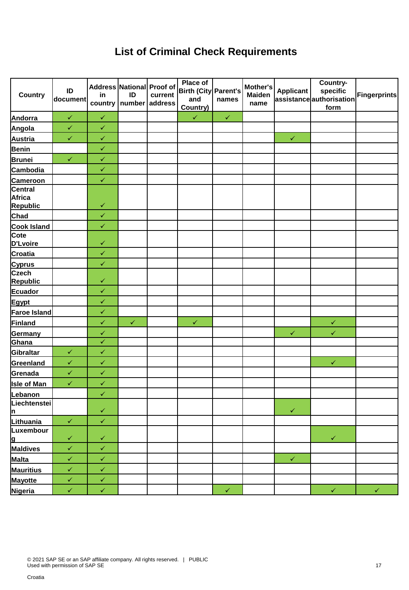### **List of Criminal Check Requirements**

| <b>Country</b>                              | ID<br>document | in           | Address National Proof of<br>ID<br>country   number   address | current | Place of<br>Birth (City Parent's<br>and<br>Country) | names        | Mother's<br><b>Maiden</b><br>name | <b>Applicant</b> | Country-<br>specific<br>assistanceauthorisation<br>form | Fingerprints |
|---------------------------------------------|----------------|--------------|---------------------------------------------------------------|---------|-----------------------------------------------------|--------------|-----------------------------------|------------------|---------------------------------------------------------|--------------|
| Andorra                                     | $\checkmark$   | $\checkmark$ |                                                               |         | $\checkmark$                                        | $\checkmark$ |                                   |                  |                                                         |              |
| Angola                                      | $\checkmark$   | $\checkmark$ |                                                               |         |                                                     |              |                                   |                  |                                                         |              |
| <b>Austria</b>                              | $\checkmark$   | $\checkmark$ |                                                               |         |                                                     |              |                                   | $\checkmark$     |                                                         |              |
| <b>Benin</b>                                |                | $\checkmark$ |                                                               |         |                                                     |              |                                   |                  |                                                         |              |
| <b>Brunei</b>                               | $\checkmark$   | $\checkmark$ |                                                               |         |                                                     |              |                                   |                  |                                                         |              |
| Cambodia                                    |                | $\checkmark$ |                                                               |         |                                                     |              |                                   |                  |                                                         |              |
| <b>Cameroon</b>                             |                | $\checkmark$ |                                                               |         |                                                     |              |                                   |                  |                                                         |              |
| Central<br><b>Africa</b><br><b>Republic</b> |                | $\checkmark$ |                                                               |         |                                                     |              |                                   |                  |                                                         |              |
| Chad                                        |                | $\checkmark$ |                                                               |         |                                                     |              |                                   |                  |                                                         |              |
| <b>Cook Island</b>                          |                | $\checkmark$ |                                                               |         |                                                     |              |                                   |                  |                                                         |              |
| Cote<br>D'Lvoire                            |                | $\checkmark$ |                                                               |         |                                                     |              |                                   |                  |                                                         |              |
| <b>Croatia</b>                              |                | $\checkmark$ |                                                               |         |                                                     |              |                                   |                  |                                                         |              |
| <b>Cyprus</b>                               |                | $\checkmark$ |                                                               |         |                                                     |              |                                   |                  |                                                         |              |
| <b>Czech</b><br><b>Republic</b>             |                | $\checkmark$ |                                                               |         |                                                     |              |                                   |                  |                                                         |              |
| Ecuador                                     |                | $\checkmark$ |                                                               |         |                                                     |              |                                   |                  |                                                         |              |
| Egypt                                       |                | $\checkmark$ |                                                               |         |                                                     |              |                                   |                  |                                                         |              |
| <b>Faroe Island</b>                         |                | $\checkmark$ |                                                               |         |                                                     |              |                                   |                  |                                                         |              |
| Finland                                     |                | $\checkmark$ | $\checkmark$                                                  |         | $\checkmark$                                        |              |                                   |                  | $\checkmark$                                            |              |
| Germany                                     |                | $\checkmark$ |                                                               |         |                                                     |              |                                   | $\checkmark$     | $\checkmark$                                            |              |
| Ghana                                       |                | $\checkmark$ |                                                               |         |                                                     |              |                                   |                  |                                                         |              |
| Gibraltar                                   | $\checkmark$   | $\checkmark$ |                                                               |         |                                                     |              |                                   |                  |                                                         |              |
| Greenland                                   | $\checkmark$   | $\checkmark$ |                                                               |         |                                                     |              |                                   |                  | $\checkmark$                                            |              |
| Grenada                                     | $\checkmark$   | $\checkmark$ |                                                               |         |                                                     |              |                                   |                  |                                                         |              |
| <b>Isle of Man</b>                          | $\checkmark$   | $\checkmark$ |                                                               |         |                                                     |              |                                   |                  |                                                         |              |
| Lebanon                                     |                | $\checkmark$ |                                                               |         |                                                     |              |                                   |                  |                                                         |              |
| Liechtenstei<br><u> n</u>                   |                | $\checkmark$ |                                                               |         |                                                     |              |                                   | $\checkmark$     |                                                         |              |
| Lithuania                                   | $\checkmark$   | $\checkmark$ |                                                               |         |                                                     |              |                                   |                  |                                                         |              |
| Luxembour<br><u>lg</u>                      | $\checkmark$   | $\checkmark$ |                                                               |         |                                                     |              |                                   |                  | $\checkmark$                                            |              |
| Maldives                                    | $\checkmark$   | $\checkmark$ |                                                               |         |                                                     |              |                                   |                  |                                                         |              |
| Malta                                       | $\checkmark$   | $\checkmark$ |                                                               |         |                                                     |              |                                   | $\checkmark$     |                                                         |              |
| <b>Mauritius</b>                            | $\checkmark$   | $\checkmark$ |                                                               |         |                                                     |              |                                   |                  |                                                         |              |
| Mayotte                                     | $\checkmark$   | $\checkmark$ |                                                               |         |                                                     |              |                                   |                  |                                                         |              |
| Nigeria                                     | $\checkmark$   | $\checkmark$ |                                                               |         |                                                     | $\checkmark$ |                                   |                  | $\checkmark$                                            | $\checkmark$ |